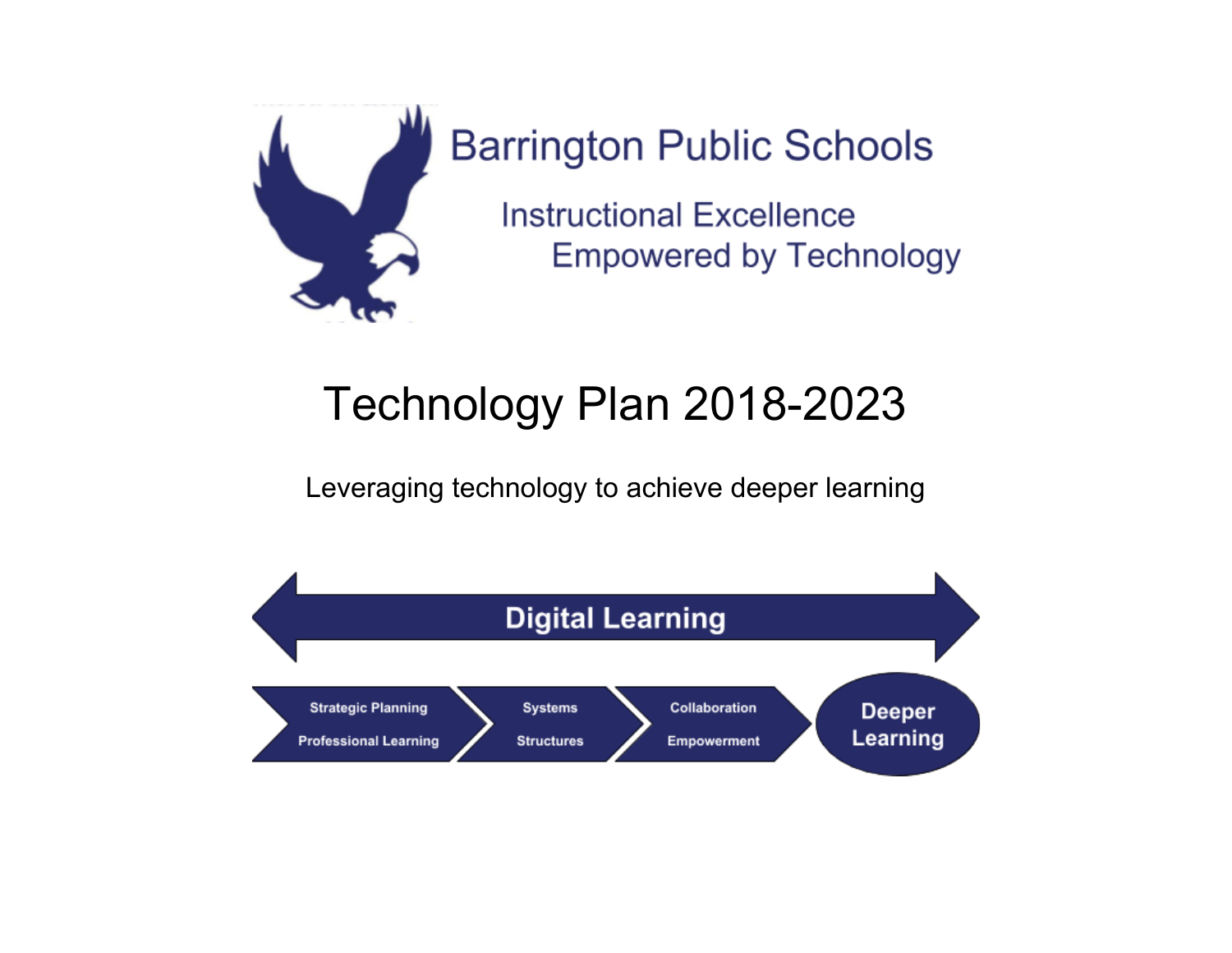

**Barrington Public Schools** 

**Instructional Excellence Empowered by Technology** 

## Technology Plan 2018-2023

Leveraging technology to achieve deeper learning

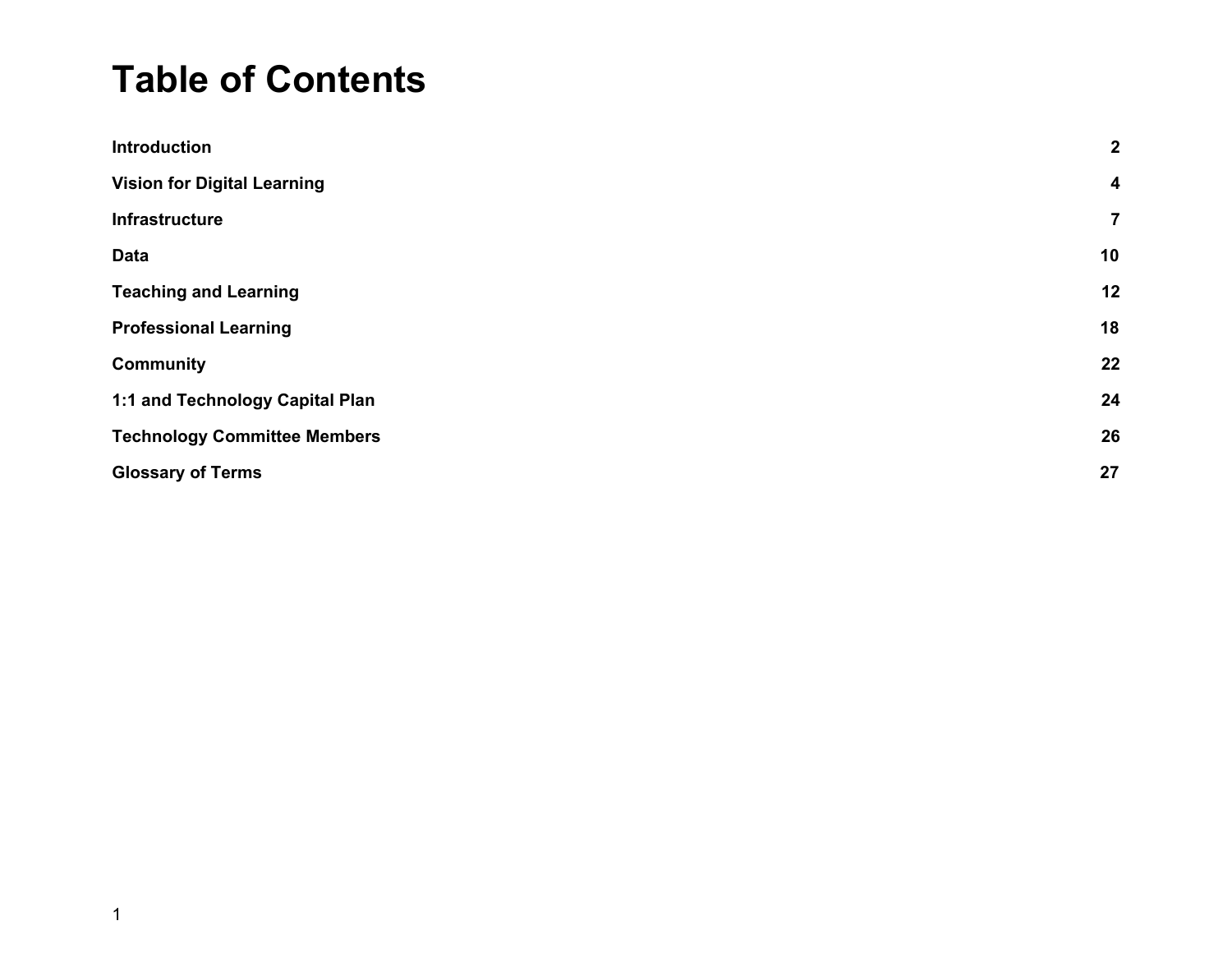### **Table of Contents**

| <b>Introduction</b>                 | $\boldsymbol{2}$        |
|-------------------------------------|-------------------------|
| <b>Vision for Digital Learning</b>  | $\overline{\mathbf{4}}$ |
| <b>Infrastructure</b>               | $\overline{7}$          |
| <b>Data</b>                         | 10                      |
| <b>Teaching and Learning</b>        | 12                      |
| <b>Professional Learning</b>        | 18                      |
| <b>Community</b>                    | 22                      |
| 1:1 and Technology Capital Plan     | 24                      |
| <b>Technology Committee Members</b> | 26                      |
| <b>Glossary of Terms</b>            | 27                      |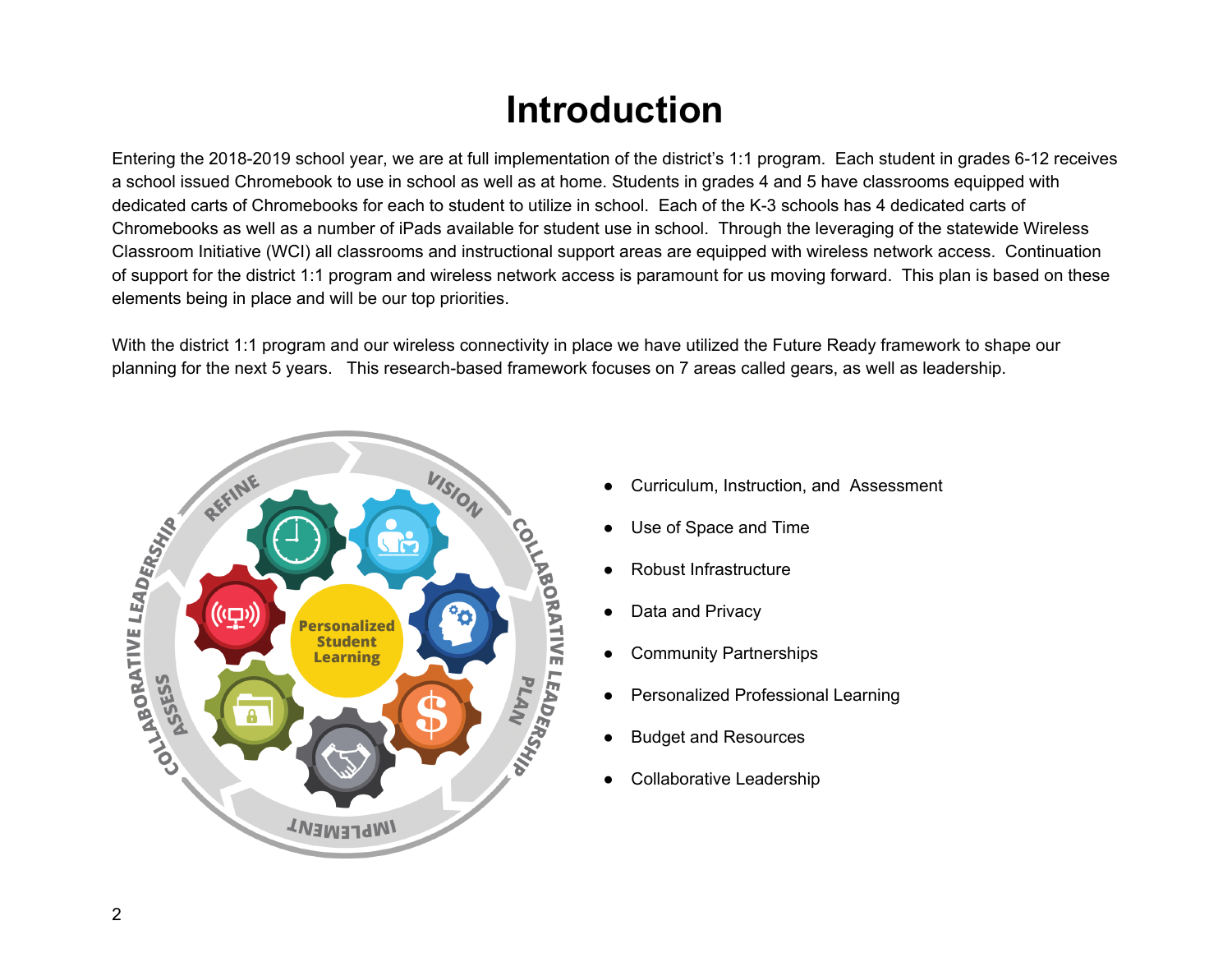### **Introduction**

<span id="page-2-0"></span>Entering the 2018-2019 school year, we are at full implementation of the district's 1:1 program. Each student in grades 6-12 receives a school issued Chromebook to use in school as well as at home. Students in grades 4 and 5 have classrooms equipped with dedicated carts of Chromebooks for each to student to utilize in school. Each of the K-3 schools has 4 dedicated carts of Chromebooks as well as a number of iPads available for student use in school. Through the leveraging of the statewide Wireless Classroom Initiative (WCI) all classrooms and instructional support areas are equipped with wireless network access. Continuation of support for the district 1:1 program and wireless network access is paramount for us moving forward. This plan is based on these elements being in place and will be our top priorities.

With the district 1:1 program and our wireless connectivity in place we have utilized the Future Ready framework to shape our planning for the next 5 years. This research-based framework focuses on 7 areas called gears, as well as leadership.



- Curriculum, Instruction, and Assessment
- Use of Space and Time
- Robust Infrastructure
- Data and Privacy
- **Community Partnerships**
- Personalized Professional Learning
- **Budget and Resources**
- Collaborative Leadership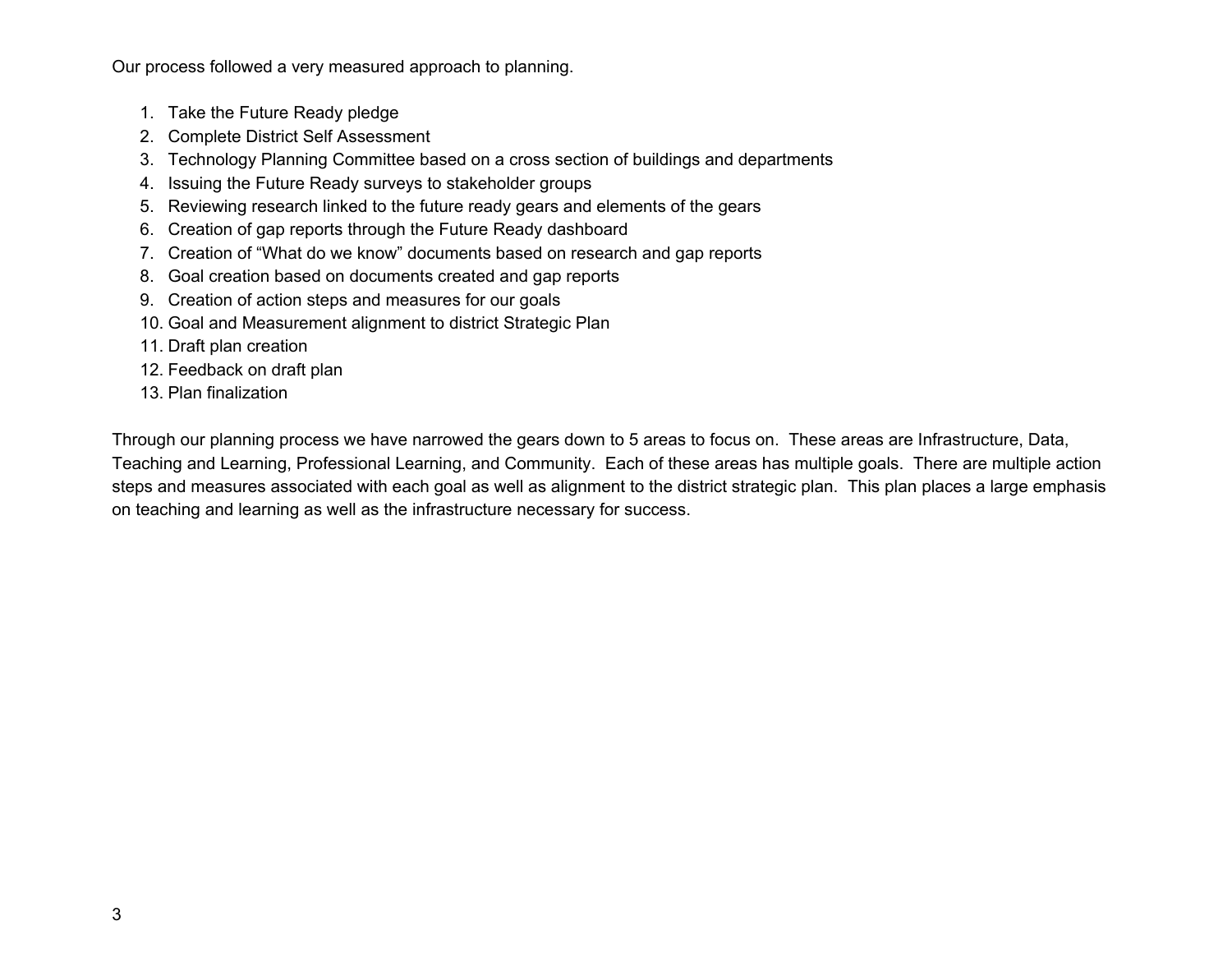Our process followed a very measured approach to planning.

- 1. Take the Future Ready pledge
- 2. Complete District Self Assessment
- 3. Technology Planning Committee based on a cross section of buildings and departments
- 4. Issuing the Future Ready surveys to stakeholder groups
- 5. Reviewing research linked to the future ready gears and elements of the gears
- 6. Creation of gap reports through the Future Ready dashboard
- 7. Creation of "What do we know" documents based on research and gap reports
- 8. Goal creation based on documents created and gap reports
- 9. Creation of action steps and measures for our goals
- 10. Goal and Measurement alignment to district Strategic Plan
- 11. Draft plan creation
- 12. Feedback on draft plan
- 13. Plan finalization

Through our planning process we have narrowed the gears down to 5 areas to focus on. These areas are Infrastructure, Data, Teaching and Learning, Professional Learning, and Community. Each of these areas has multiple goals. There are multiple action steps and measures associated with each goal as well as alignment to the district strategic plan. This plan places a large emphasis on teaching and learning as well as the infrastructure necessary for success.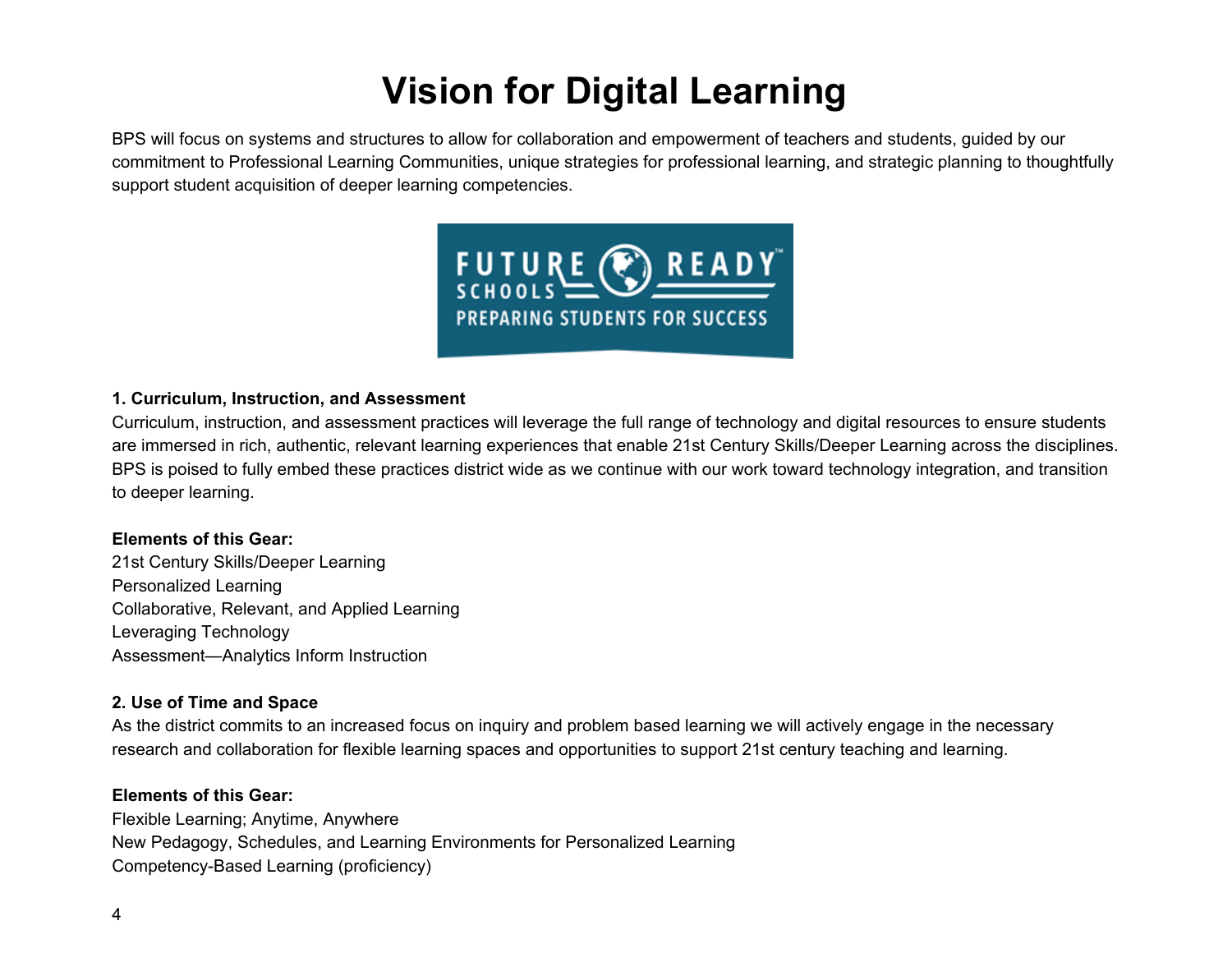## **Vision for Digital Learning**

<span id="page-4-0"></span>BPS will focus on systems and structures to allow for collaboration and empowerment of teachers and students, guided by our commitment to Professional Learning Communities, unique strategies for professional learning, and strategic planning to thoughtfully support student acquisition of deeper learning competencies.



#### **1. Curriculum, Instruction, and Assessment**

Curriculum, instruction, and assessment practices will leverage the full range of technology and digital resources to ensure students are immersed in rich, authentic, relevant learning experiences that enable 21st Century Skills/Deeper Learning across the disciplines. BPS is poised to fully embed these practices district wide as we continue with our work toward technology integration, and transition to deeper learning.

#### **Elements of this Gear:**

21st Century Skills/Deeper Learning Personalized Learning Collaborative, Relevant, and Applied Learning Leveraging Technology Assessment—Analytics Inform Instruction

#### **2. Use of Time and Space**

As the district commits to an increased focus on inquiry and problem based learning we will actively engage in the necessary research and collaboration for flexible learning spaces and opportunities to support 21st century teaching and learning.

#### **Elements of this Gear:**

Flexible Learning; Anytime, Anywhere New Pedagogy, Schedules, and Learning Environments for Personalized Learning Competency-Based Learning (proficiency)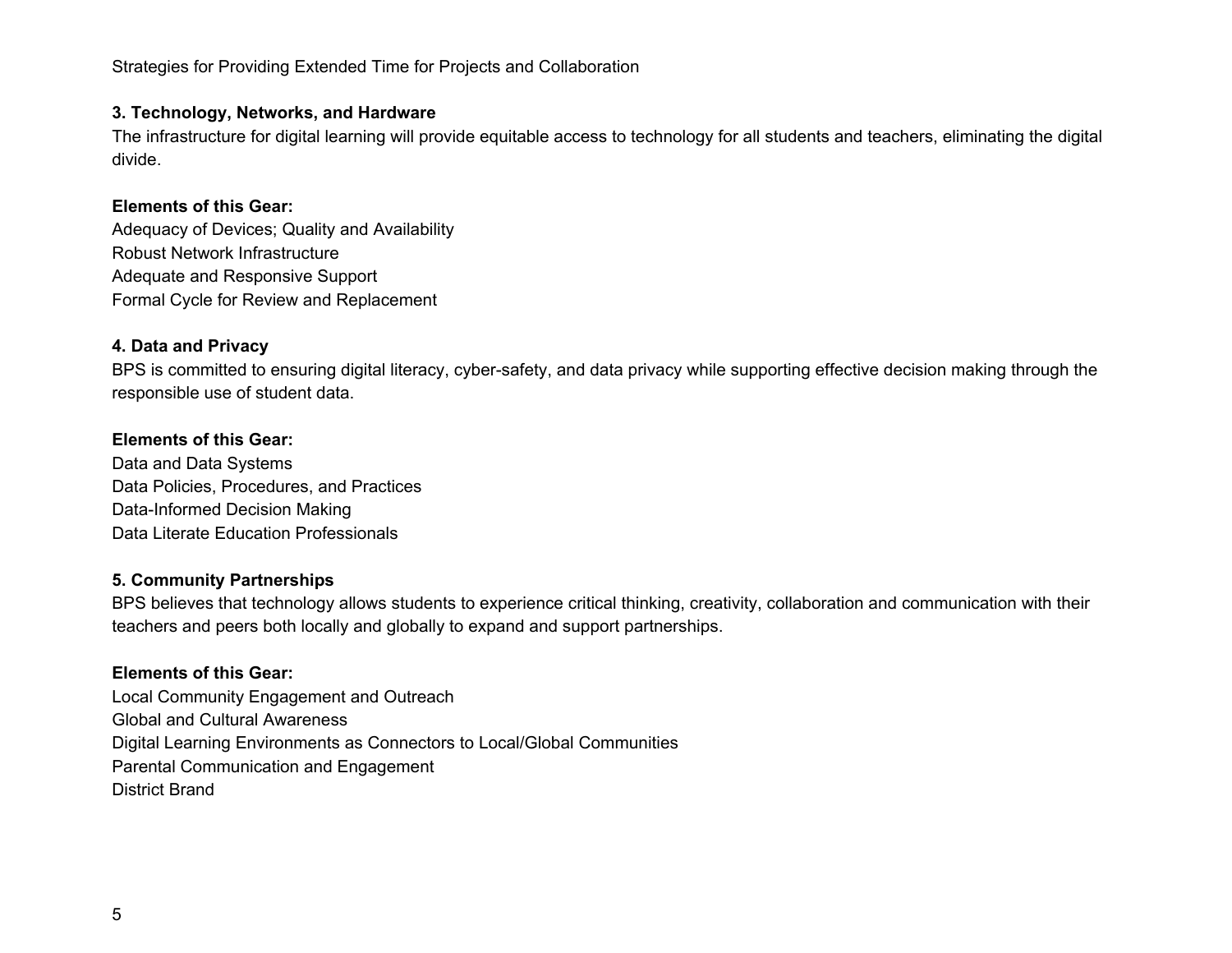Strategies for Providing Extended Time for Projects and Collaboration

#### **3. Technology, Networks, and Hardware**

The infrastructure for digital learning will provide equitable access to technology for all students and teachers, eliminating the digital divide.

#### **Elements of this Gear:**

Adequacy of Devices; Quality and Availability Robust Network Infrastructure Adequate and Responsive Support Formal Cycle for Review and Replacement

#### **4. Data and Privacy**

BPS is committed to ensuring digital literacy, cyber-safety, and data privacy while supporting effective decision making through the responsible use of student data.

#### **Elements of this Gear:**

Data and Data Systems Data Policies, Procedures, and Practices Data-Informed Decision Making Data Literate Education Professionals

#### **5. Community Partnerships**

BPS believes that technology allows students to experience critical thinking, creativity, collaboration and communication with their teachers and peers both locally and globally to expand and support partnerships.

#### **Elements of this Gear:**

Local Community Engagement and Outreach Global and Cultural Awareness Digital Learning Environments as Connectors to Local/Global Communities Parental Communication and Engagement District Brand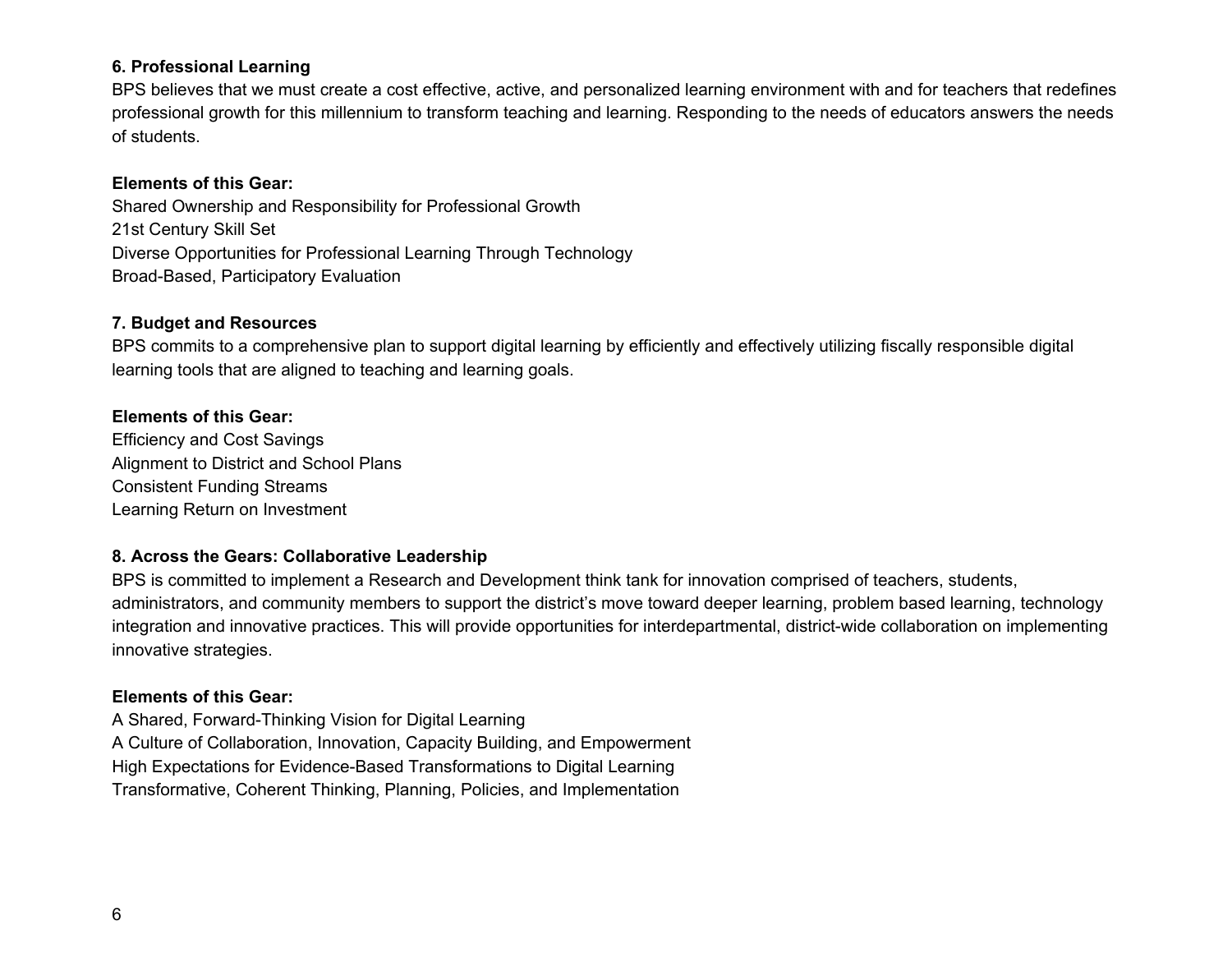#### **6. Professional Learning**

BPS believes that we must create a cost effective, active, and personalized learning environment with and for teachers that redefines professional growth for this millennium to transform teaching and learning. Responding to the needs of educators answers the needs of students.

#### **Elements of this Gear:**

Shared Ownership and Responsibility for Professional Growth 21st Century Skill Set Diverse Opportunities for Professional Learning Through Technology Broad-Based, Participatory Evaluation

#### **7. Budget and Resources**

BPS commits to a comprehensive plan to support digital learning by efficiently and effectively utilizing fiscally responsible digital learning tools that are aligned to teaching and learning goals.

#### **Elements of this Gear:**

Efficiency and Cost Savings Alignment to District and School Plans Consistent Funding Streams Learning Return on Investment

#### **8. Across the Gears: Collaborative Leadership**

BPS is committed to implement a Research and Development think tank for innovation comprised of teachers, students, administrators, and community members to support the district's move toward deeper learning, problem based learning, technology integration and innovative practices. This will provide opportunities for interdepartmental, district-wide collaboration on implementing innovative strategies.

#### **Elements of this Gear:**

A Shared, Forward-Thinking Vision for Digital Learning A Culture of Collaboration, Innovation, Capacity Building, and Empowerment High Expectations for Evidence-Based Transformations to Digital Learning Transformative, Coherent Thinking, Planning, Policies, and Implementation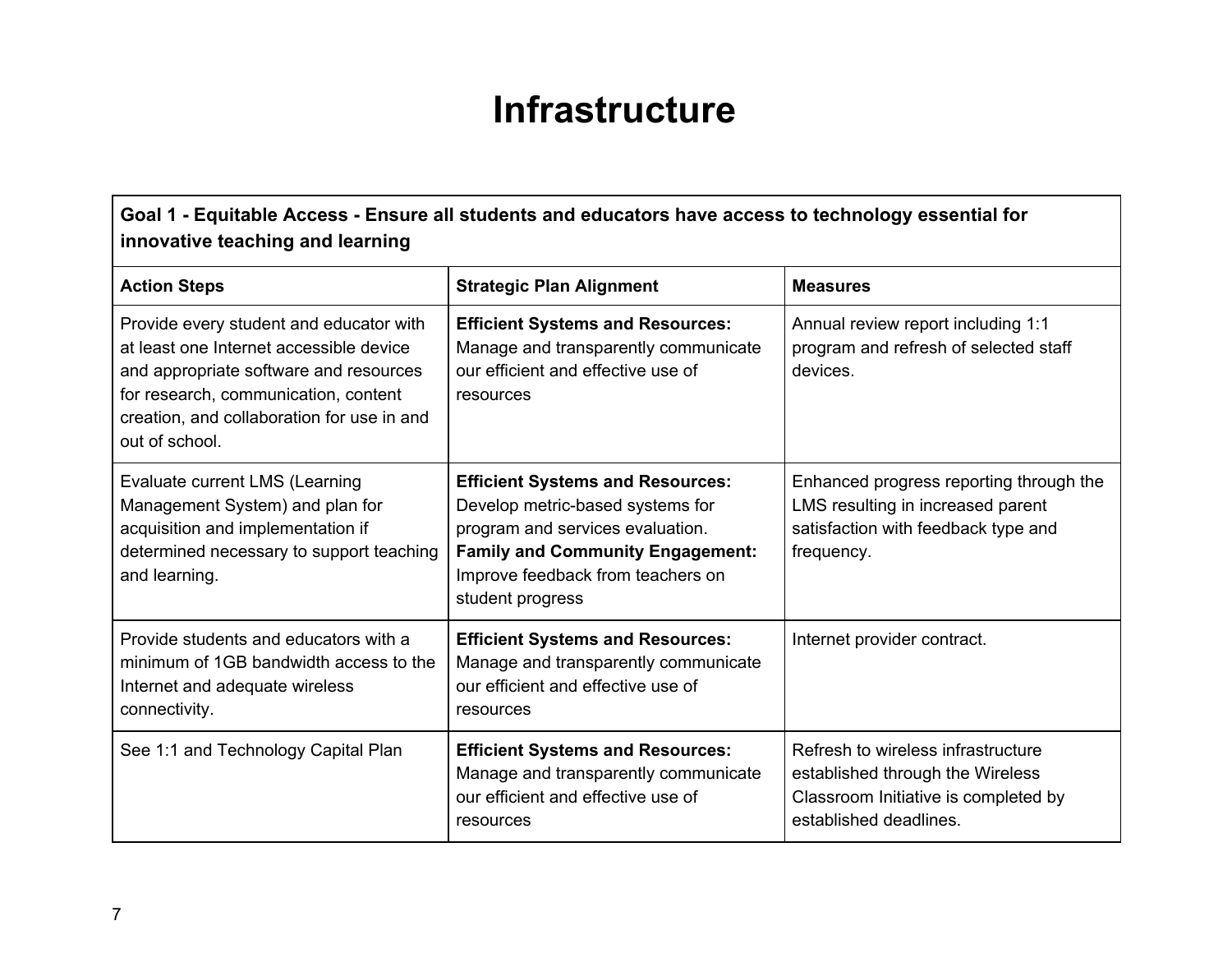### **Infrastructure**

<span id="page-7-0"></span>**Goal 1 - Equitable Access - Ensure all students and educators have access to technology essential for innovative teaching and learning**

| <b>Action Steps</b>                                                                                                                                                                                                                  | <b>Strategic Plan Alignment</b>                                                                                                                                                                                     | <b>Measures</b>                                                                                                                          |
|--------------------------------------------------------------------------------------------------------------------------------------------------------------------------------------------------------------------------------------|---------------------------------------------------------------------------------------------------------------------------------------------------------------------------------------------------------------------|------------------------------------------------------------------------------------------------------------------------------------------|
| Provide every student and educator with<br>at least one Internet accessible device<br>and appropriate software and resources<br>for research, communication, content<br>creation, and collaboration for use in and<br>out of school. | <b>Efficient Systems and Resources:</b><br>Manage and transparently communicate<br>our efficient and effective use of<br>resources                                                                                  | Annual review report including 1:1<br>program and refresh of selected staff<br>devices.                                                  |
| Evaluate current LMS (Learning<br>Management System) and plan for<br>acquisition and implementation if<br>determined necessary to support teaching<br>and learning.                                                                  | <b>Efficient Systems and Resources:</b><br>Develop metric-based systems for<br>program and services evaluation.<br><b>Family and Community Engagement:</b><br>Improve feedback from teachers on<br>student progress | Enhanced progress reporting through the<br>LMS resulting in increased parent<br>satisfaction with feedback type and<br>frequency.        |
| Provide students and educators with a<br>minimum of 1GB bandwidth access to the<br>Internet and adequate wireless<br>connectivity.                                                                                                   | <b>Efficient Systems and Resources:</b><br>Manage and transparently communicate<br>our efficient and effective use of<br>resources                                                                                  | Internet provider contract.                                                                                                              |
| See 1:1 and Technology Capital Plan                                                                                                                                                                                                  | <b>Efficient Systems and Resources:</b><br>Manage and transparently communicate<br>our efficient and effective use of<br>resources                                                                                  | Refresh to wireless infrastructure<br>established through the Wireless<br>Classroom Initiative is completed by<br>established deadlines. |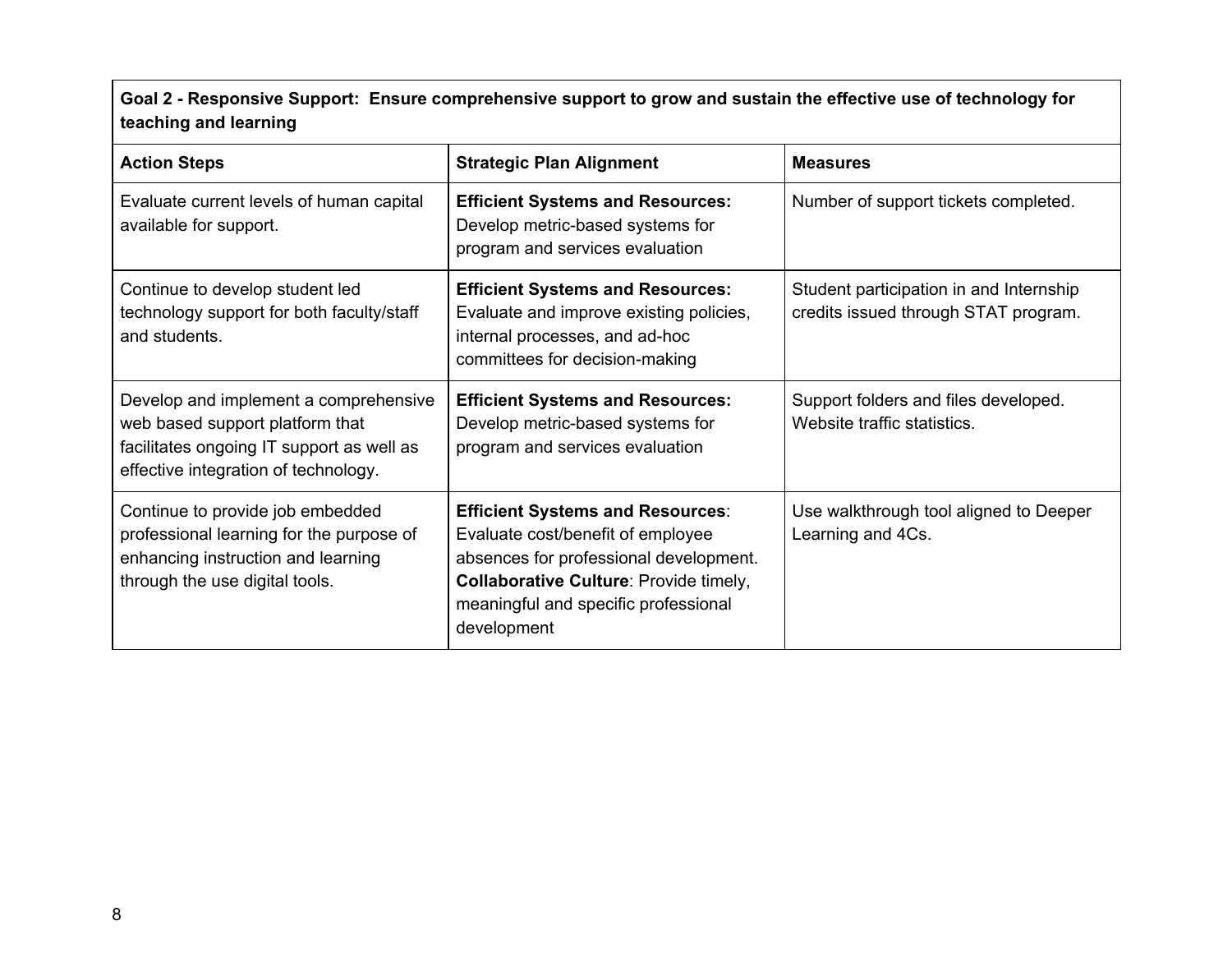Goal 2 - Responsive Support: Ensure comprehensive support to grow and sustain the effective use of technology for **teaching and learning**

| <b>Action Steps</b>                                                                                                                                           | <b>Strategic Plan Alignment</b>                                                                                                                                                                                         | <b>Measures</b>                                                                 |
|---------------------------------------------------------------------------------------------------------------------------------------------------------------|-------------------------------------------------------------------------------------------------------------------------------------------------------------------------------------------------------------------------|---------------------------------------------------------------------------------|
| Evaluate current levels of human capital<br>available for support.                                                                                            | <b>Efficient Systems and Resources:</b><br>Develop metric-based systems for<br>program and services evaluation                                                                                                          | Number of support tickets completed.                                            |
| Continue to develop student led<br>technology support for both faculty/staff<br>and students.                                                                 | <b>Efficient Systems and Resources:</b><br>Evaluate and improve existing policies,<br>internal processes, and ad-hoc<br>committees for decision-making                                                                  | Student participation in and Internship<br>credits issued through STAT program. |
| Develop and implement a comprehensive<br>web based support platform that<br>facilitates ongoing IT support as well as<br>effective integration of technology. | <b>Efficient Systems and Resources:</b><br>Develop metric-based systems for<br>program and services evaluation                                                                                                          | Support folders and files developed.<br>Website traffic statistics.             |
| Continue to provide job embedded<br>professional learning for the purpose of<br>enhancing instruction and learning<br>through the use digital tools.          | <b>Efficient Systems and Resources:</b><br>Evaluate cost/benefit of employee<br>absences for professional development.<br>Collaborative Culture: Provide timely,<br>meaningful and specific professional<br>development | Use walkthrough tool aligned to Deeper<br>Learning and 4Cs.                     |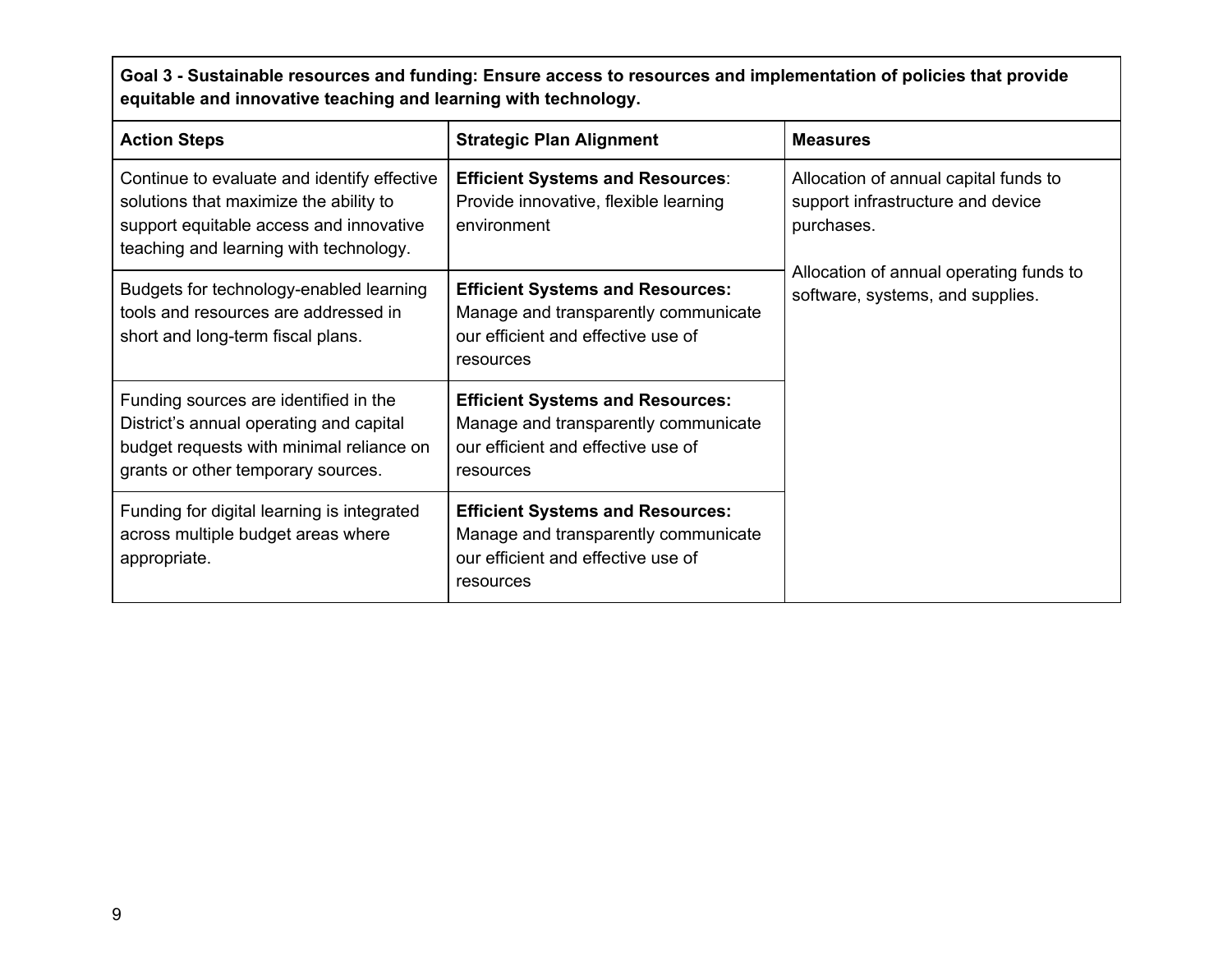Goal 3 - Sustainable resources and funding: Ensure access to resources and implementation of policies that provide **equitable and innovative teaching and learning with technology.**

| <b>Action Steps</b>                                                                                                                                                        | <b>Strategic Plan Alignment</b>                                                                                                    | <b>Measures</b>                                                                          |
|----------------------------------------------------------------------------------------------------------------------------------------------------------------------------|------------------------------------------------------------------------------------------------------------------------------------|------------------------------------------------------------------------------------------|
| Continue to evaluate and identify effective<br>solutions that maximize the ability to<br>support equitable access and innovative<br>teaching and learning with technology. | <b>Efficient Systems and Resources:</b><br>Provide innovative, flexible learning<br>environment                                    | Allocation of annual capital funds to<br>support infrastructure and device<br>purchases. |
| Budgets for technology-enabled learning<br>tools and resources are addressed in<br>short and long-term fiscal plans.                                                       | <b>Efficient Systems and Resources:</b><br>Manage and transparently communicate<br>our efficient and effective use of<br>resources | Allocation of annual operating funds to<br>software, systems, and supplies.              |
| Funding sources are identified in the<br>District's annual operating and capital<br>budget requests with minimal reliance on<br>grants or other temporary sources.         | <b>Efficient Systems and Resources:</b><br>Manage and transparently communicate<br>our efficient and effective use of<br>resources |                                                                                          |
| Funding for digital learning is integrated<br>across multiple budget areas where<br>appropriate.                                                                           | <b>Efficient Systems and Resources:</b><br>Manage and transparently communicate<br>our efficient and effective use of<br>resources |                                                                                          |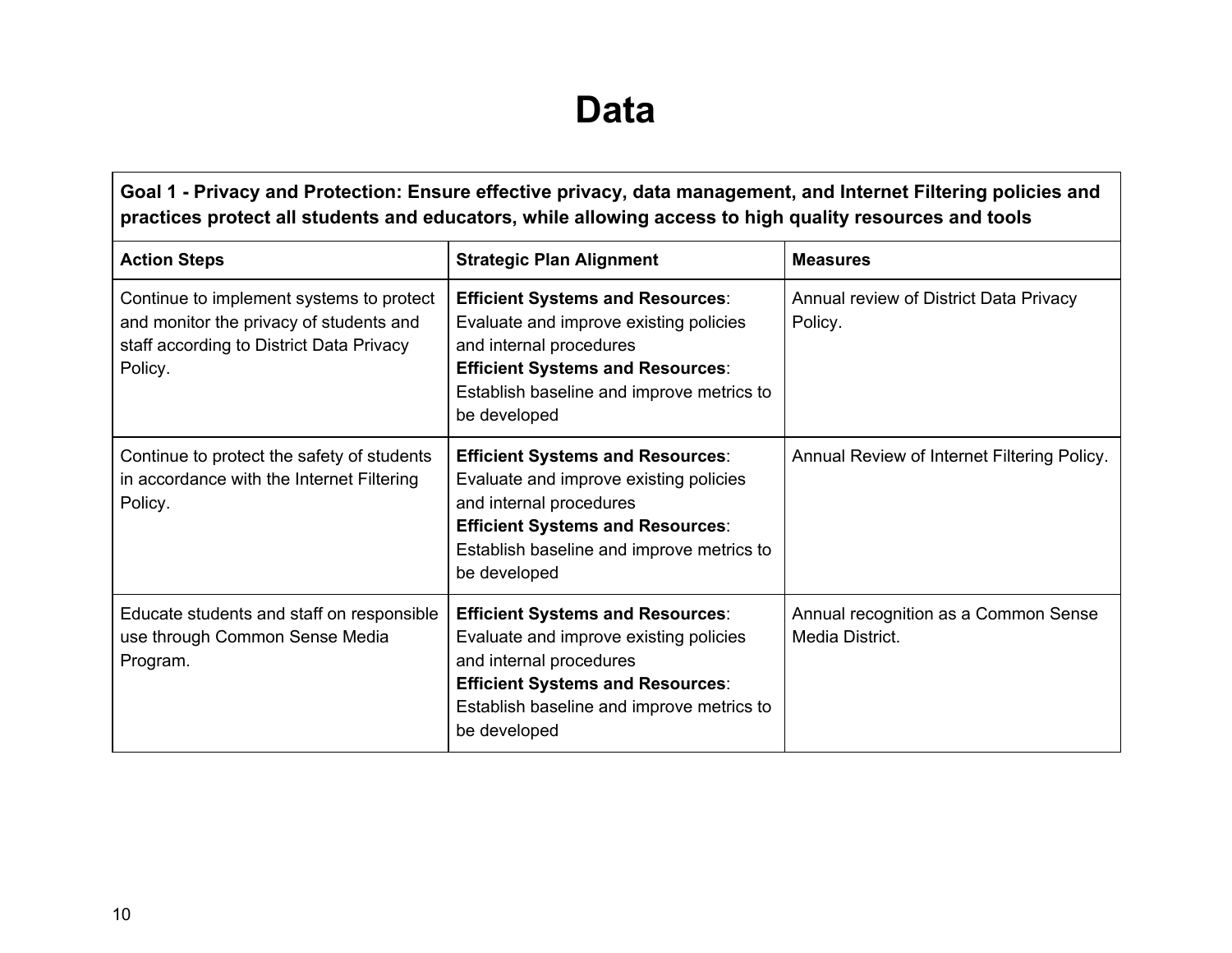### **Data**

<span id="page-10-0"></span>**Goal 1 - Privacy and Protection: Ensure effective privacy, data management, and Internet Filtering policies and practices protect all students and educators, while allowing access to high quality resources and tools**

| <b>Action Steps</b>                                                                                                                        | <b>Strategic Plan Alignment</b>                                                                                                                                                                                      | <b>Measures</b>                                         |
|--------------------------------------------------------------------------------------------------------------------------------------------|----------------------------------------------------------------------------------------------------------------------------------------------------------------------------------------------------------------------|---------------------------------------------------------|
| Continue to implement systems to protect<br>and monitor the privacy of students and<br>staff according to District Data Privacy<br>Policy. | <b>Efficient Systems and Resources:</b><br>Evaluate and improve existing policies<br>and internal procedures<br><b>Efficient Systems and Resources:</b><br>Establish baseline and improve metrics to<br>be developed | Annual review of District Data Privacy<br>Policy.       |
| Continue to protect the safety of students<br>in accordance with the Internet Filtering<br>Policy.                                         | <b>Efficient Systems and Resources:</b><br>Evaluate and improve existing policies<br>and internal procedures<br><b>Efficient Systems and Resources:</b><br>Establish baseline and improve metrics to<br>be developed | Annual Review of Internet Filtering Policy.             |
| Educate students and staff on responsible<br>use through Common Sense Media<br>Program.                                                    | <b>Efficient Systems and Resources:</b><br>Evaluate and improve existing policies<br>and internal procedures<br><b>Efficient Systems and Resources:</b><br>Establish baseline and improve metrics to<br>be developed | Annual recognition as a Common Sense<br>Media District. |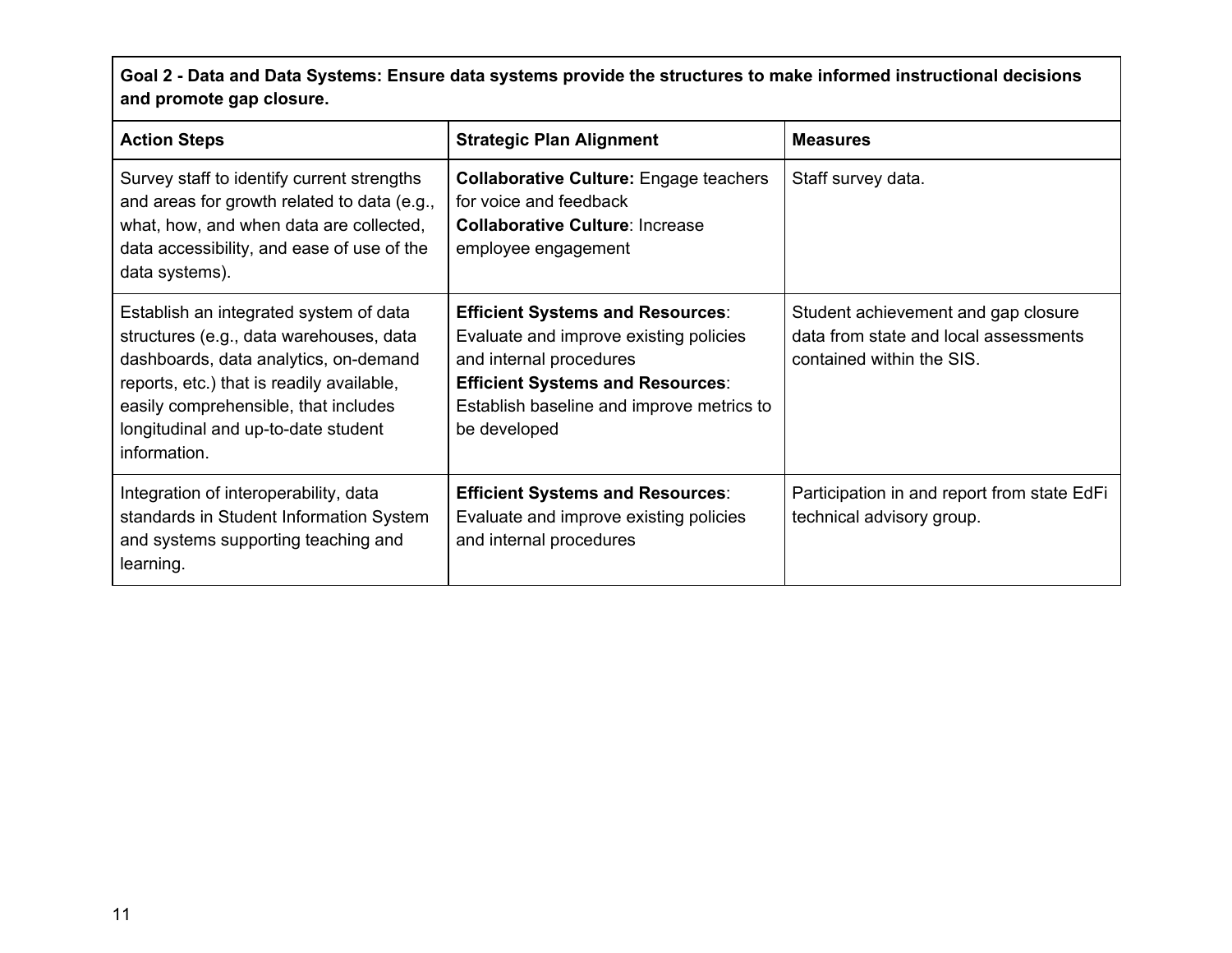Goal 2 - Data and Data Systems: Ensure data systems provide the structures to make informed instructional decisions **and promote gap closure.**

| <b>Action Steps</b>                                                                                                                                                                                                                                                    | <b>Strategic Plan Alignment</b>                                                                                                                                                                                      | <b>Measures</b>                                                                                           |
|------------------------------------------------------------------------------------------------------------------------------------------------------------------------------------------------------------------------------------------------------------------------|----------------------------------------------------------------------------------------------------------------------------------------------------------------------------------------------------------------------|-----------------------------------------------------------------------------------------------------------|
| Survey staff to identify current strengths<br>and areas for growth related to data (e.g.,<br>what, how, and when data are collected,<br>data accessibility, and ease of use of the<br>data systems).                                                                   | <b>Collaborative Culture: Engage teachers</b><br>for voice and feedback<br><b>Collaborative Culture: Increase</b><br>employee engagement                                                                             | Staff survey data.                                                                                        |
| Establish an integrated system of data<br>structures (e.g., data warehouses, data<br>dashboards, data analytics, on-demand<br>reports, etc.) that is readily available,<br>easily comprehensible, that includes<br>longitudinal and up-to-date student<br>information. | <b>Efficient Systems and Resources:</b><br>Evaluate and improve existing policies<br>and internal procedures<br><b>Efficient Systems and Resources:</b><br>Establish baseline and improve metrics to<br>be developed | Student achievement and gap closure<br>data from state and local assessments<br>contained within the SIS. |
| Integration of interoperability, data<br>standards in Student Information System<br>and systems supporting teaching and<br>learning.                                                                                                                                   | <b>Efficient Systems and Resources:</b><br>Evaluate and improve existing policies<br>and internal procedures                                                                                                         | Participation in and report from state EdFi<br>technical advisory group.                                  |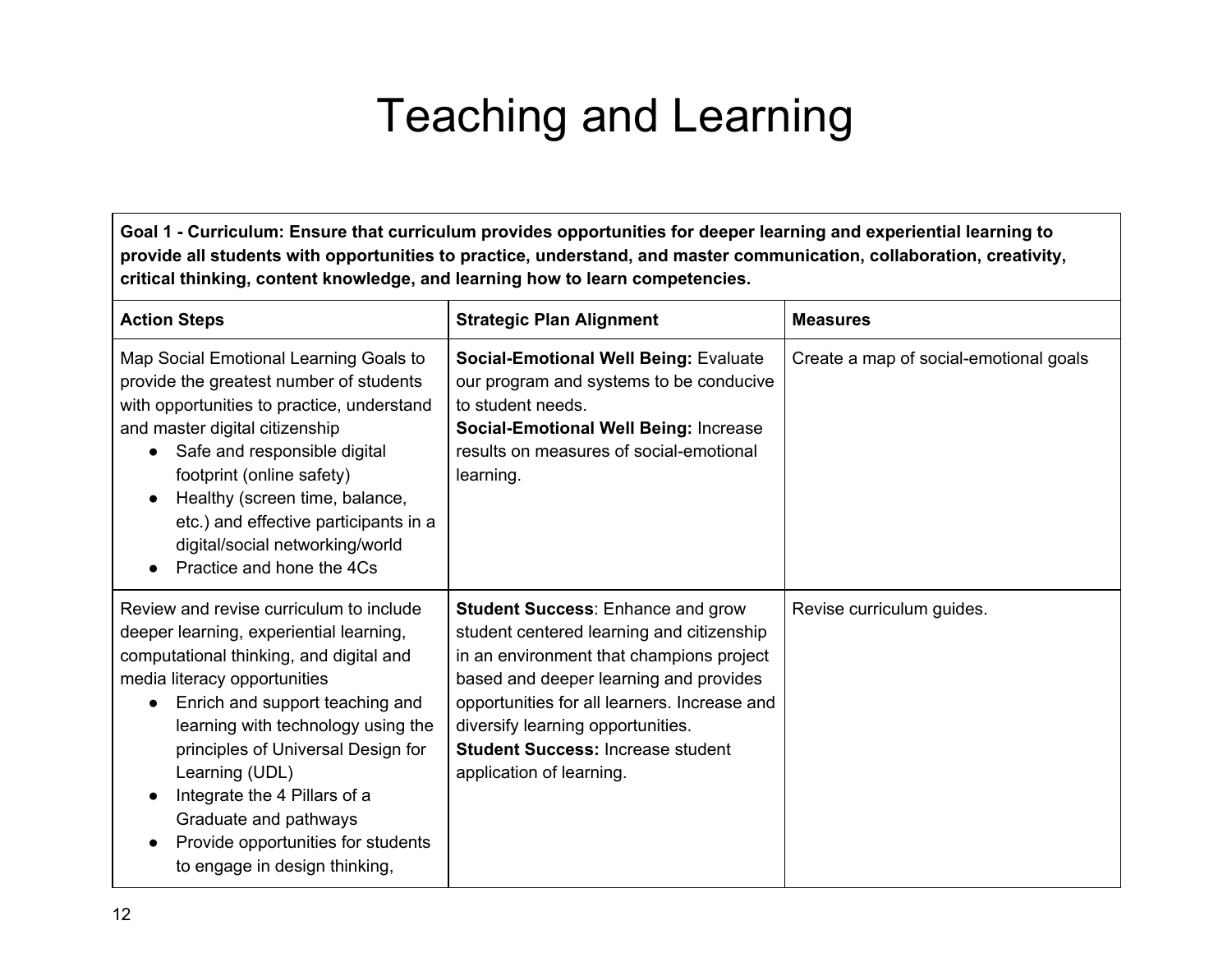# Teaching and Learning

<span id="page-12-0"></span>Goal 1 - Curriculum: Ensure that curriculum provides opportunities for deeper learning and experiential learning to **provide all students with opportunities to practice, understand, and master communication, collaboration, creativity, critical thinking, content knowledge, and learning how to learn competencies.**

| <b>Action Steps</b>                                                                                                                                                                                                                                                                                                                                                                                                            | <b>Strategic Plan Alignment</b>                                                                                                                                                                                                                                                                                                          | <b>Measures</b>                        |
|--------------------------------------------------------------------------------------------------------------------------------------------------------------------------------------------------------------------------------------------------------------------------------------------------------------------------------------------------------------------------------------------------------------------------------|------------------------------------------------------------------------------------------------------------------------------------------------------------------------------------------------------------------------------------------------------------------------------------------------------------------------------------------|----------------------------------------|
| Map Social Emotional Learning Goals to<br>provide the greatest number of students<br>with opportunities to practice, understand<br>and master digital citizenship<br>Safe and responsible digital<br>footprint (online safety)<br>Healthy (screen time, balance,<br>etc.) and effective participants in a<br>digital/social networking/world<br>Practice and hone the 4Cs                                                      | <b>Social-Emotional Well Being: Evaluate</b><br>our program and systems to be conducive<br>to student needs.<br><b>Social-Emotional Well Being: Increase</b><br>results on measures of social-emotional<br>learning.                                                                                                                     | Create a map of social-emotional goals |
| Review and revise curriculum to include<br>deeper learning, experiential learning,<br>computational thinking, and digital and<br>media literacy opportunities<br>Enrich and support teaching and<br>learning with technology using the<br>principles of Universal Design for<br>Learning (UDL)<br>Integrate the 4 Pillars of a<br>Graduate and pathways<br>Provide opportunities for students<br>to engage in design thinking, | <b>Student Success: Enhance and grow</b><br>student centered learning and citizenship<br>in an environment that champions project<br>based and deeper learning and provides<br>opportunities for all learners. Increase and<br>diversify learning opportunities.<br><b>Student Success: Increase student</b><br>application of learning. | Revise curriculum guides.              |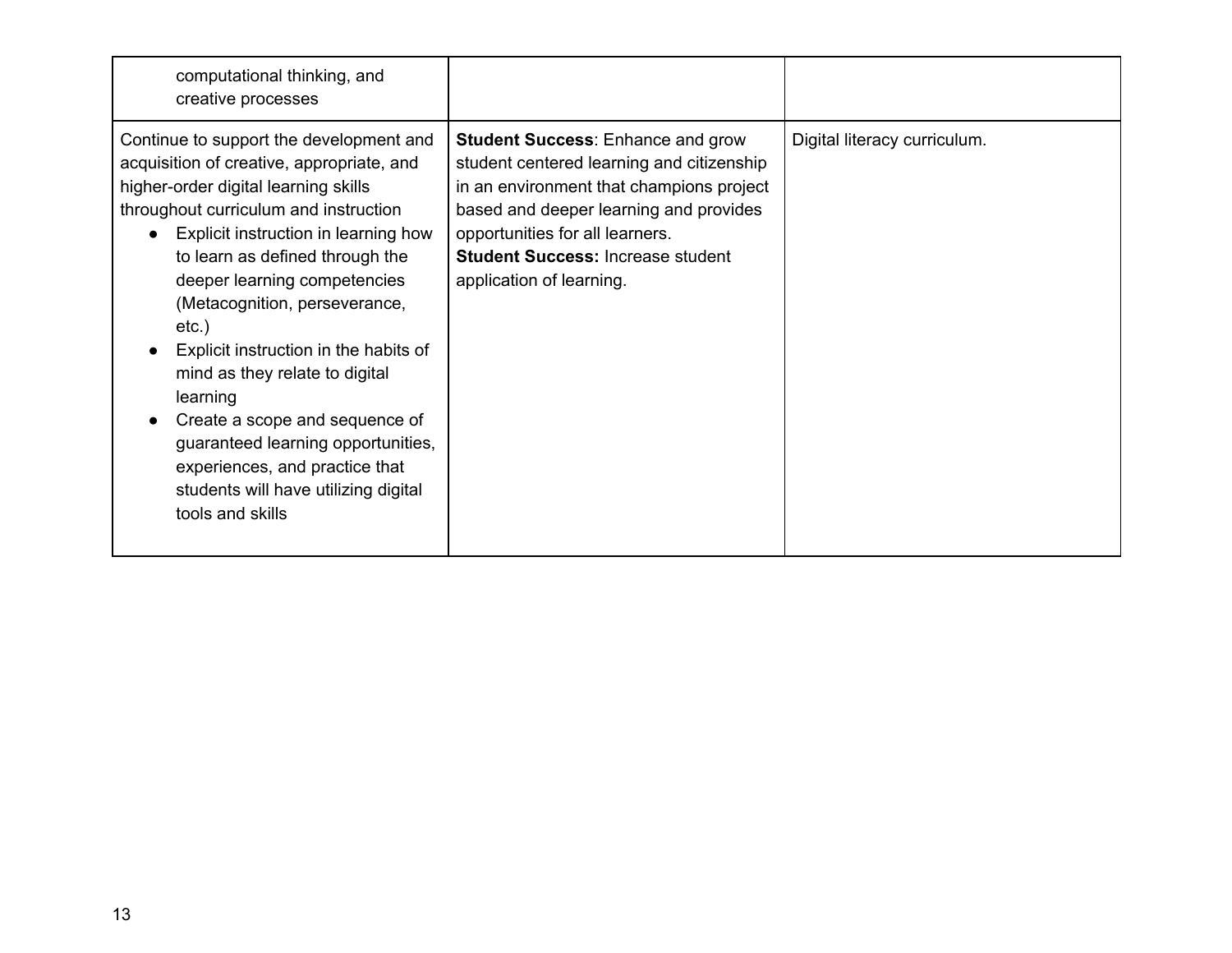| computational thinking, and<br>creative processes                                                                                                                                                                                                                                                                                                                                                                                                                                                                                                                                          |                                                                                                                                                                                                                                                                                        |                              |
|--------------------------------------------------------------------------------------------------------------------------------------------------------------------------------------------------------------------------------------------------------------------------------------------------------------------------------------------------------------------------------------------------------------------------------------------------------------------------------------------------------------------------------------------------------------------------------------------|----------------------------------------------------------------------------------------------------------------------------------------------------------------------------------------------------------------------------------------------------------------------------------------|------------------------------|
| Continue to support the development and<br>acquisition of creative, appropriate, and<br>higher-order digital learning skills<br>throughout curriculum and instruction<br>Explicit instruction in learning how<br>to learn as defined through the<br>deeper learning competencies<br>(Metacognition, perseverance,<br>$etc.$ )<br>Explicit instruction in the habits of<br>mind as they relate to digital<br>learning<br>Create a scope and sequence of<br>guaranteed learning opportunities,<br>experiences, and practice that<br>students will have utilizing digital<br>tools and skills | <b>Student Success: Enhance and grow</b><br>student centered learning and citizenship<br>in an environment that champions project<br>based and deeper learning and provides<br>opportunities for all learners.<br><b>Student Success: Increase student</b><br>application of learning. | Digital literacy curriculum. |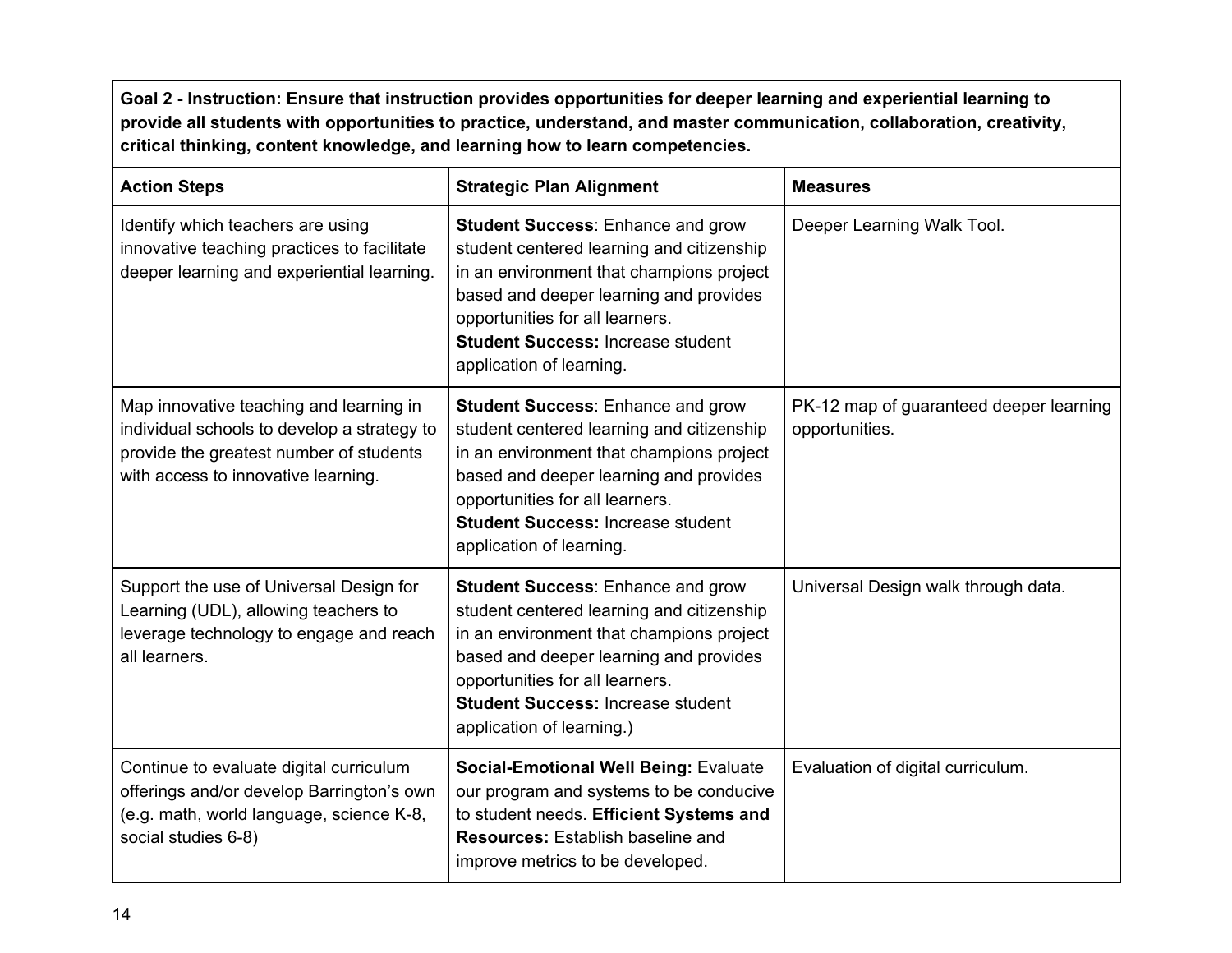Goal 2 - Instruction: Ensure that instruction provides opportunities for deeper learning and experiential learning to **provide all students with opportunities to practice, understand, and master communication, collaboration, creativity, critical thinking, content knowledge, and learning how to learn competencies.**

| <b>Action Steps</b>                                                                                                                                                      | <b>Strategic Plan Alignment</b>                                                                                                                                                                                                                                                         | <b>Measures</b>                                           |
|--------------------------------------------------------------------------------------------------------------------------------------------------------------------------|-----------------------------------------------------------------------------------------------------------------------------------------------------------------------------------------------------------------------------------------------------------------------------------------|-----------------------------------------------------------|
| Identify which teachers are using<br>innovative teaching practices to facilitate<br>deeper learning and experiential learning.                                           | <b>Student Success: Enhance and grow</b><br>student centered learning and citizenship<br>in an environment that champions project<br>based and deeper learning and provides<br>opportunities for all learners.<br><b>Student Success: Increase student</b><br>application of learning.  | Deeper Learning Walk Tool.                                |
| Map innovative teaching and learning in<br>individual schools to develop a strategy to<br>provide the greatest number of students<br>with access to innovative learning. | <b>Student Success: Enhance and grow</b><br>student centered learning and citizenship<br>in an environment that champions project<br>based and deeper learning and provides<br>opportunities for all learners.<br><b>Student Success: Increase student</b><br>application of learning.  | PK-12 map of guaranteed deeper learning<br>opportunities. |
| Support the use of Universal Design for<br>Learning (UDL), allowing teachers to<br>leverage technology to engage and reach<br>all learners.                              | <b>Student Success: Enhance and grow</b><br>student centered learning and citizenship<br>in an environment that champions project<br>based and deeper learning and provides<br>opportunities for all learners.<br><b>Student Success: Increase student</b><br>application of learning.) | Universal Design walk through data.                       |
| Continue to evaluate digital curriculum<br>offerings and/or develop Barrington's own<br>(e.g. math, world language, science K-8,<br>social studies 6-8)                  | <b>Social-Emotional Well Being: Evaluate</b><br>our program and systems to be conducive<br>to student needs. Efficient Systems and<br><b>Resources:</b> Establish baseline and<br>improve metrics to be developed.                                                                      | Evaluation of digital curriculum.                         |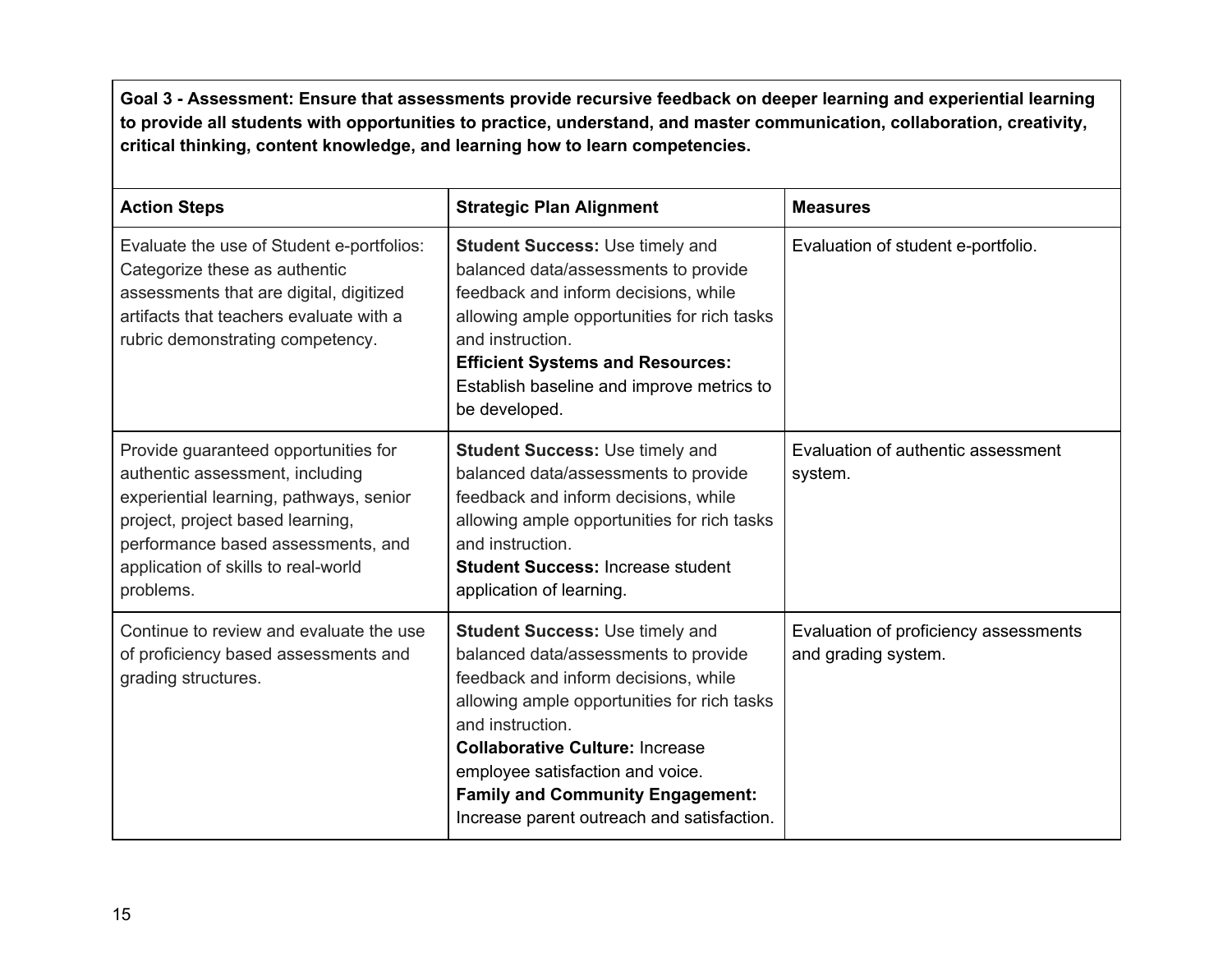Goal 3 - Assessment: Ensure that assessments provide recursive feedback on deeper learning and experiential learning **to provide all students with opportunities to practice, understand, and master communication, collaboration, creativity, critical thinking, content knowledge, and learning how to learn competencies.**

|                                                                                                                                                                                                                                                  |                                                                                                                                                                                                                                                                                                                                                                  | <b>Measures</b>                                              |
|--------------------------------------------------------------------------------------------------------------------------------------------------------------------------------------------------------------------------------------------------|------------------------------------------------------------------------------------------------------------------------------------------------------------------------------------------------------------------------------------------------------------------------------------------------------------------------------------------------------------------|--------------------------------------------------------------|
| <b>Action Steps</b>                                                                                                                                                                                                                              | <b>Strategic Plan Alignment</b>                                                                                                                                                                                                                                                                                                                                  |                                                              |
| Evaluate the use of Student e-portfolios:<br>Categorize these as authentic<br>assessments that are digital, digitized<br>artifacts that teachers evaluate with a<br>rubric demonstrating competency.                                             | <b>Student Success: Use timely and</b><br>balanced data/assessments to provide<br>feedback and inform decisions, while<br>allowing ample opportunities for rich tasks<br>and instruction.<br><b>Efficient Systems and Resources:</b><br>Establish baseline and improve metrics to<br>be developed.                                                               | Evaluation of student e-portfolio.                           |
| Provide guaranteed opportunities for<br>authentic assessment, including<br>experiential learning, pathways, senior<br>project, project based learning,<br>performance based assessments, and<br>application of skills to real-world<br>problems. | <b>Student Success: Use timely and</b><br>balanced data/assessments to provide<br>feedback and inform decisions, while<br>allowing ample opportunities for rich tasks<br>and instruction.<br><b>Student Success: Increase student</b><br>application of learning.                                                                                                | Evaluation of authentic assessment<br>system.                |
| Continue to review and evaluate the use<br>of proficiency based assessments and<br>grading structures.                                                                                                                                           | <b>Student Success: Use timely and</b><br>balanced data/assessments to provide<br>feedback and inform decisions, while<br>allowing ample opportunities for rich tasks<br>and instruction.<br><b>Collaborative Culture: Increase</b><br>employee satisfaction and voice.<br><b>Family and Community Engagement:</b><br>Increase parent outreach and satisfaction. | Evaluation of proficiency assessments<br>and grading system. |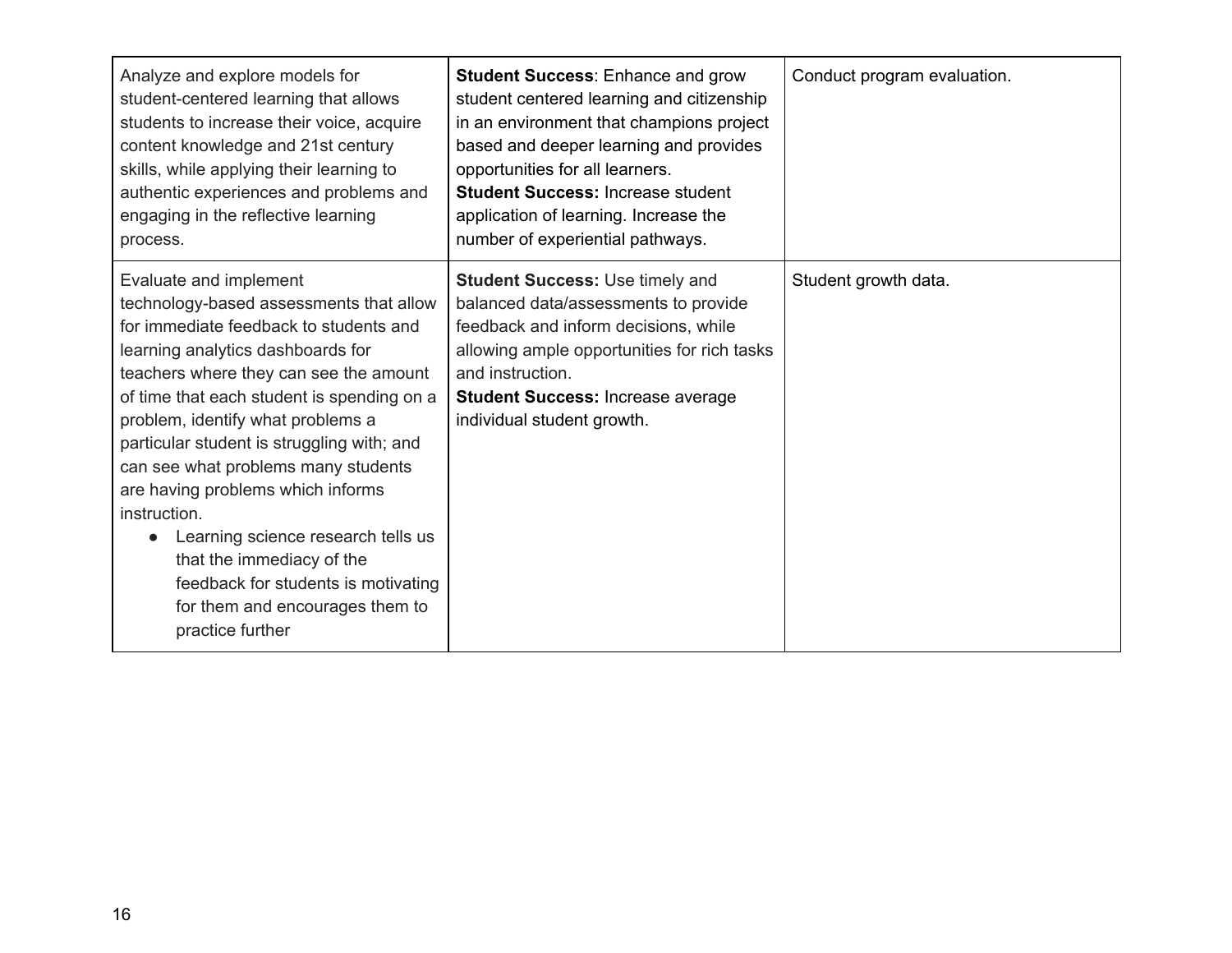| Analyze and explore models for<br>student-centered learning that allows<br>students to increase their voice, acquire<br>content knowledge and 21st century<br>skills, while applying their learning to<br>authentic experiences and problems and<br>engaging in the reflective learning<br>process.                                                                                                                                                                                                                                                                                      | <b>Student Success: Enhance and grow</b><br>student centered learning and citizenship<br>in an environment that champions project<br>based and deeper learning and provides<br>opportunities for all learners.<br><b>Student Success: Increase student</b><br>application of learning. Increase the<br>number of experiential pathways. | Conduct program evaluation. |
|------------------------------------------------------------------------------------------------------------------------------------------------------------------------------------------------------------------------------------------------------------------------------------------------------------------------------------------------------------------------------------------------------------------------------------------------------------------------------------------------------------------------------------------------------------------------------------------|-----------------------------------------------------------------------------------------------------------------------------------------------------------------------------------------------------------------------------------------------------------------------------------------------------------------------------------------|-----------------------------|
| Evaluate and implement<br>technology-based assessments that allow<br>for immediate feedback to students and<br>learning analytics dashboards for<br>teachers where they can see the amount<br>of time that each student is spending on a<br>problem, identify what problems a<br>particular student is struggling with; and<br>can see what problems many students<br>are having problems which informs<br>instruction.<br>Learning science research tells us<br>that the immediacy of the<br>feedback for students is motivating<br>for them and encourages them to<br>practice further | <b>Student Success: Use timely and</b><br>balanced data/assessments to provide<br>feedback and inform decisions, while<br>allowing ample opportunities for rich tasks<br>and instruction.<br><b>Student Success: Increase average</b><br>individual student growth.                                                                     | Student growth data.        |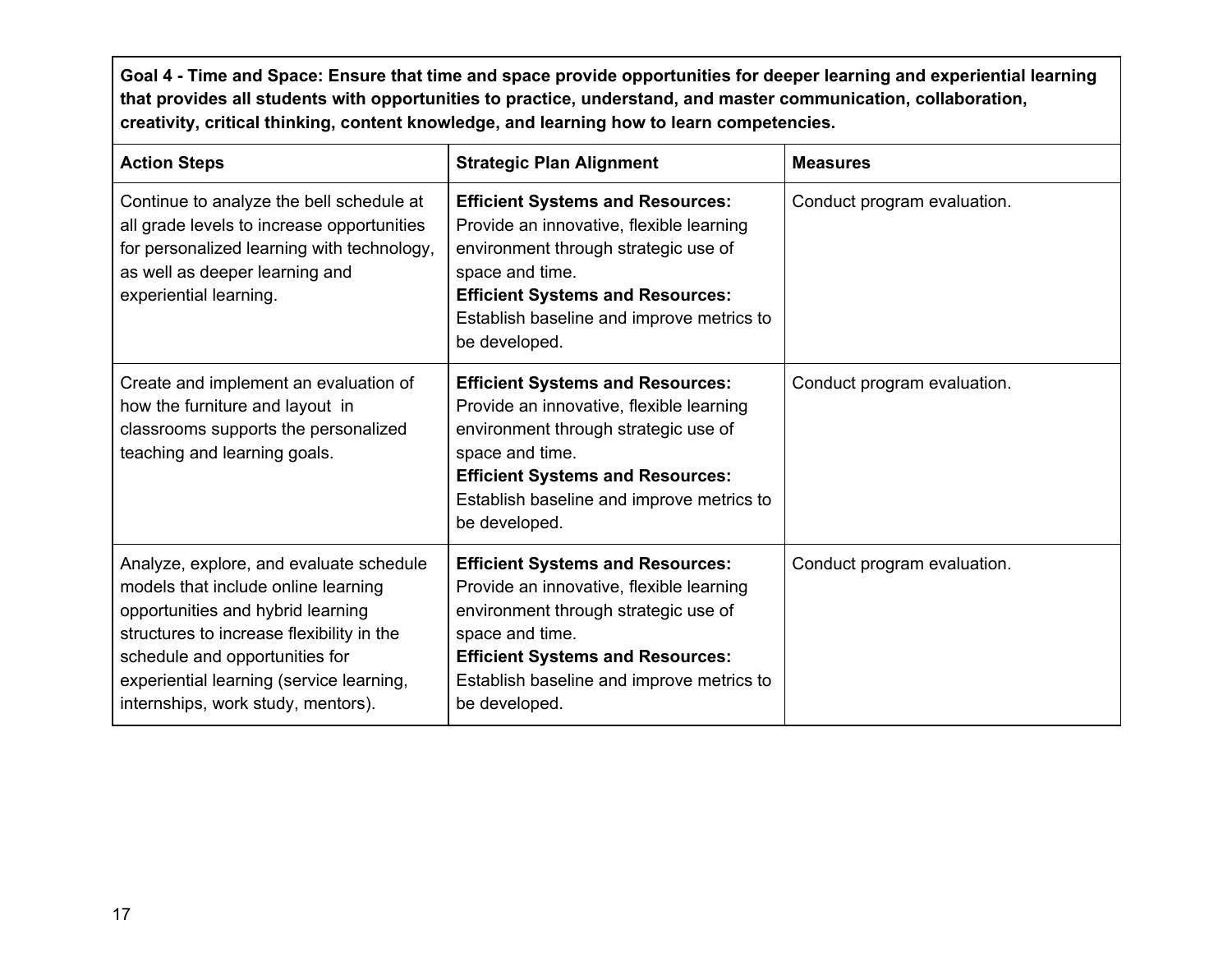Goal 4 - Time and Space: Ensure that time and space provide opportunities for deeper learning and experiential learning **that provides all students with opportunities to practice, understand, and master communication, collaboration, creativity, critical thinking, content knowledge, and learning how to learn competencies.**

| <b>Action Steps</b>                                                                                                                                                                                                                                                                  | <b>Strategic Plan Alignment</b>                                                                                                                                                                                                                         | <b>Measures</b>             |
|--------------------------------------------------------------------------------------------------------------------------------------------------------------------------------------------------------------------------------------------------------------------------------------|---------------------------------------------------------------------------------------------------------------------------------------------------------------------------------------------------------------------------------------------------------|-----------------------------|
| Continue to analyze the bell schedule at<br>all grade levels to increase opportunities<br>for personalized learning with technology,<br>as well as deeper learning and<br>experiential learning.                                                                                     | <b>Efficient Systems and Resources:</b><br>Provide an innovative, flexible learning<br>environment through strategic use of<br>space and time.<br><b>Efficient Systems and Resources:</b><br>Establish baseline and improve metrics to<br>be developed. | Conduct program evaluation. |
| Create and implement an evaluation of<br>how the furniture and layout in<br>classrooms supports the personalized<br>teaching and learning goals.                                                                                                                                     | <b>Efficient Systems and Resources:</b><br>Provide an innovative, flexible learning<br>environment through strategic use of<br>space and time.<br><b>Efficient Systems and Resources:</b><br>Establish baseline and improve metrics to<br>be developed. | Conduct program evaluation. |
| Analyze, explore, and evaluate schedule<br>models that include online learning<br>opportunities and hybrid learning<br>structures to increase flexibility in the<br>schedule and opportunities for<br>experiential learning (service learning,<br>internships, work study, mentors). | <b>Efficient Systems and Resources:</b><br>Provide an innovative, flexible learning<br>environment through strategic use of<br>space and time.<br><b>Efficient Systems and Resources:</b><br>Establish baseline and improve metrics to<br>be developed. | Conduct program evaluation. |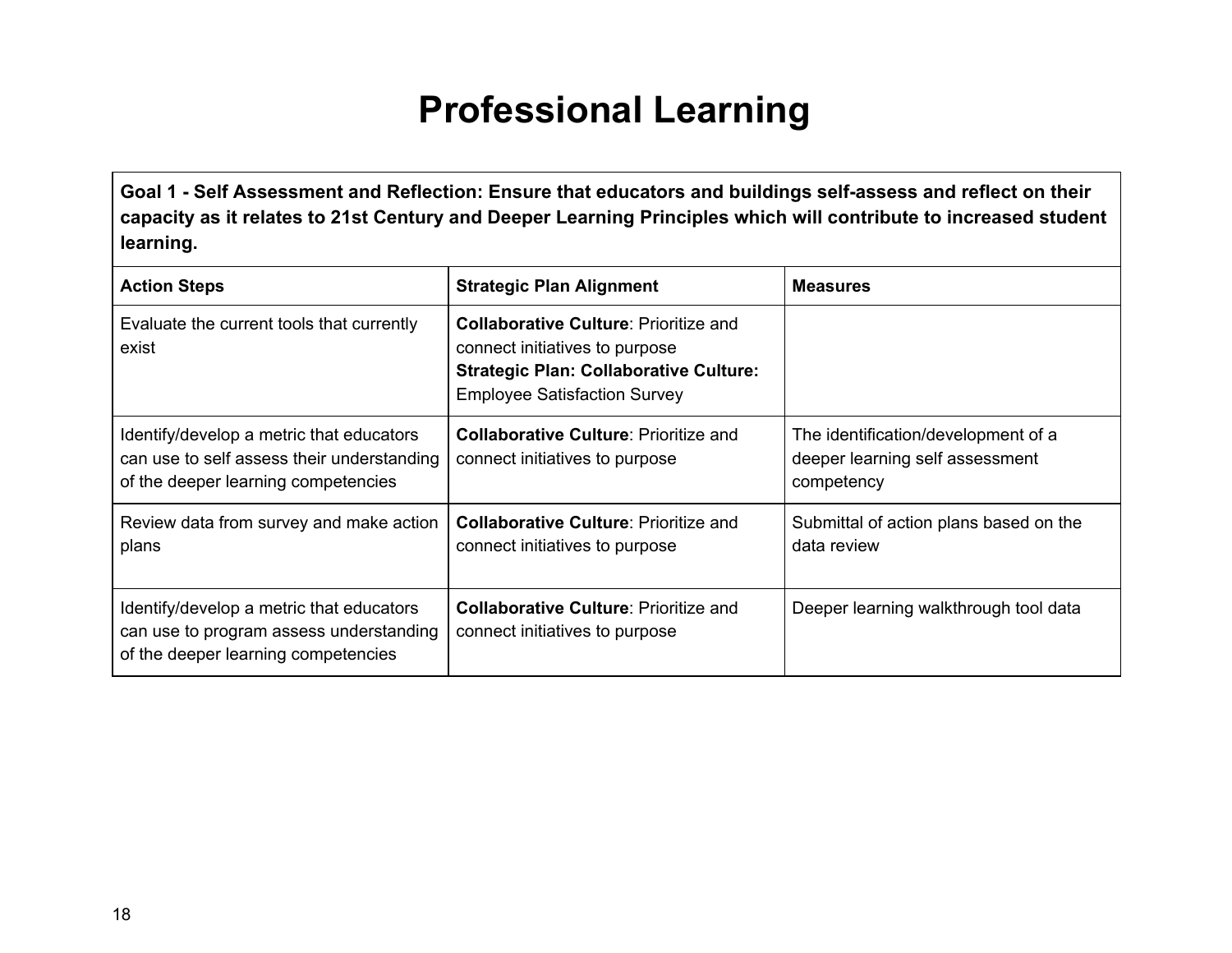### **Professional Learning**

<span id="page-18-0"></span>**Goal 1 - Self Assessment and Reflection: Ensure that educators and buildings self-assess and reflect on their capacity as it relates to 21st Century and Deeper Learning Principles which will contribute to increased student learning.**

| <b>Action Steps</b>                                                                                                           | <b>Strategic Plan Alignment</b>                                                                                                                                        | <b>Measures</b>                                                                      |  |  |
|-------------------------------------------------------------------------------------------------------------------------------|------------------------------------------------------------------------------------------------------------------------------------------------------------------------|--------------------------------------------------------------------------------------|--|--|
| Evaluate the current tools that currently<br>exist                                                                            | <b>Collaborative Culture: Prioritize and</b><br>connect initiatives to purpose<br><b>Strategic Plan: Collaborative Culture:</b><br><b>Employee Satisfaction Survey</b> |                                                                                      |  |  |
| Identify/develop a metric that educators<br>can use to self assess their understanding<br>of the deeper learning competencies | <b>Collaborative Culture: Prioritize and</b><br>connect initiatives to purpose                                                                                         | The identification/development of a<br>deeper learning self assessment<br>competency |  |  |
| Review data from survey and make action<br>plans                                                                              | <b>Collaborative Culture: Prioritize and</b><br>connect initiatives to purpose                                                                                         | Submittal of action plans based on the<br>data review                                |  |  |
| Identify/develop a metric that educators<br>can use to program assess understanding<br>of the deeper learning competencies    | <b>Collaborative Culture: Prioritize and</b><br>connect initiatives to purpose                                                                                         | Deeper learning walkthrough tool data                                                |  |  |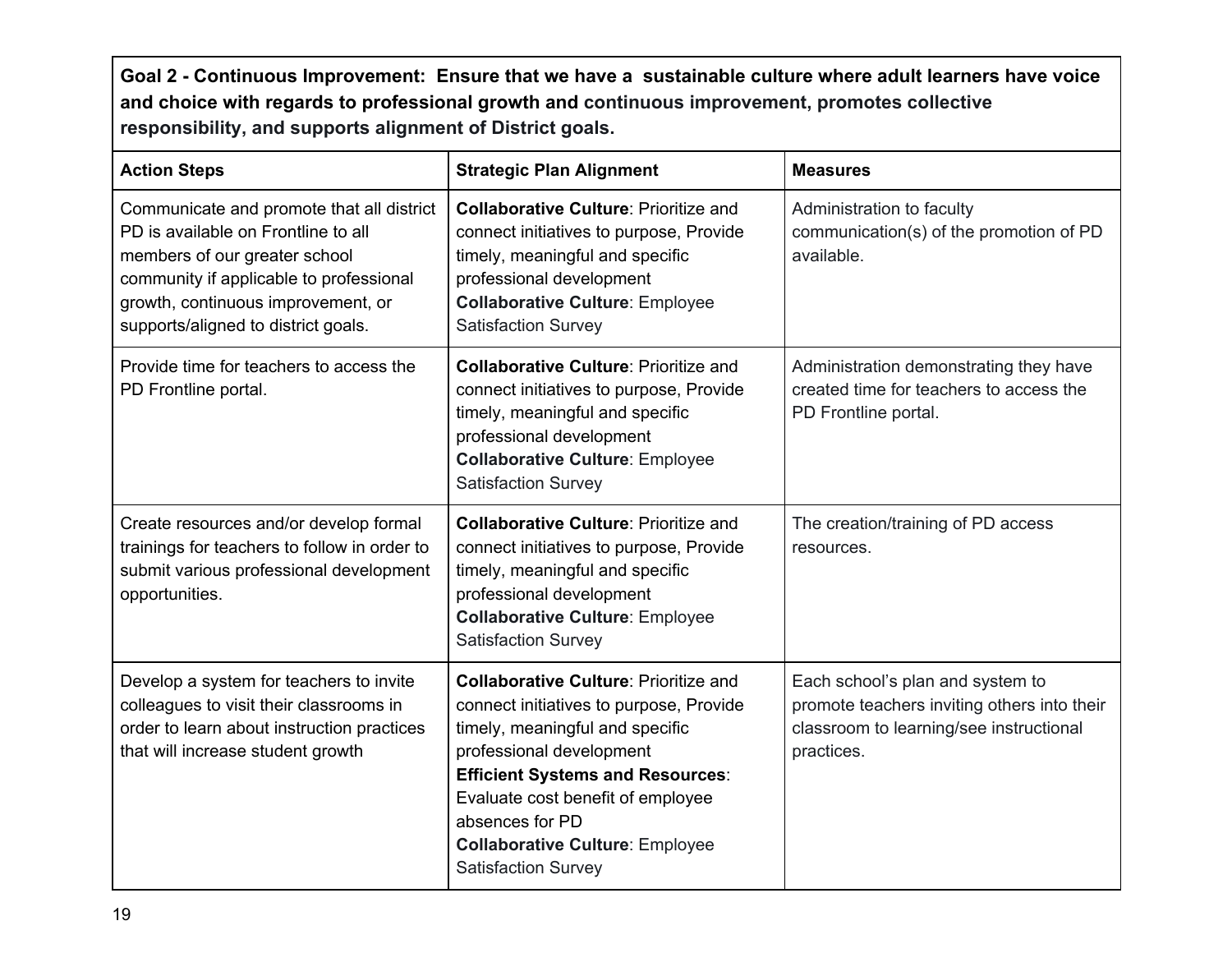**Goal 2 - Continuous Improvement: Ensure that we have a sustainable culture where adult learners have voice and choice with regards to professional growth and continuous improvement, promotes collective responsibility, and supports alignment of District goals.**

| <b>Action Steps</b>                                                                                                                                                                                                                       | <b>Strategic Plan Alignment</b>                                                                                                                                                                                                                                                                                                   | <b>Measures</b>                                                                                                                          |  |  |  |
|-------------------------------------------------------------------------------------------------------------------------------------------------------------------------------------------------------------------------------------------|-----------------------------------------------------------------------------------------------------------------------------------------------------------------------------------------------------------------------------------------------------------------------------------------------------------------------------------|------------------------------------------------------------------------------------------------------------------------------------------|--|--|--|
| Communicate and promote that all district<br>PD is available on Frontline to all<br>members of our greater school<br>community if applicable to professional<br>growth, continuous improvement, or<br>supports/aligned to district goals. | <b>Collaborative Culture: Prioritize and</b><br>connect initiatives to purpose, Provide<br>timely, meaningful and specific<br>professional development<br><b>Collaborative Culture: Employee</b><br><b>Satisfaction Survey</b>                                                                                                    | Administration to faculty<br>communication(s) of the promotion of PD<br>available.                                                       |  |  |  |
| Provide time for teachers to access the<br>PD Frontline portal.                                                                                                                                                                           | <b>Collaborative Culture: Prioritize and</b><br>connect initiatives to purpose, Provide<br>timely, meaningful and specific<br>professional development<br><b>Collaborative Culture: Employee</b><br><b>Satisfaction Survey</b>                                                                                                    | Administration demonstrating they have<br>created time for teachers to access the<br>PD Frontline portal.                                |  |  |  |
| Create resources and/or develop formal<br>trainings for teachers to follow in order to<br>submit various professional development<br>opportunities.                                                                                       | <b>Collaborative Culture: Prioritize and</b><br>connect initiatives to purpose, Provide<br>timely, meaningful and specific<br>professional development<br><b>Collaborative Culture: Employee</b><br><b>Satisfaction Survey</b>                                                                                                    | The creation/training of PD access<br>resources.                                                                                         |  |  |  |
| Develop a system for teachers to invite<br>colleagues to visit their classrooms in<br>order to learn about instruction practices<br>that will increase student growth                                                                     | <b>Collaborative Culture: Prioritize and</b><br>connect initiatives to purpose, Provide<br>timely, meaningful and specific<br>professional development<br><b>Efficient Systems and Resources:</b><br>Evaluate cost benefit of employee<br>absences for PD<br><b>Collaborative Culture: Employee</b><br><b>Satisfaction Survey</b> | Each school's plan and system to<br>promote teachers inviting others into their<br>classroom to learning/see instructional<br>practices. |  |  |  |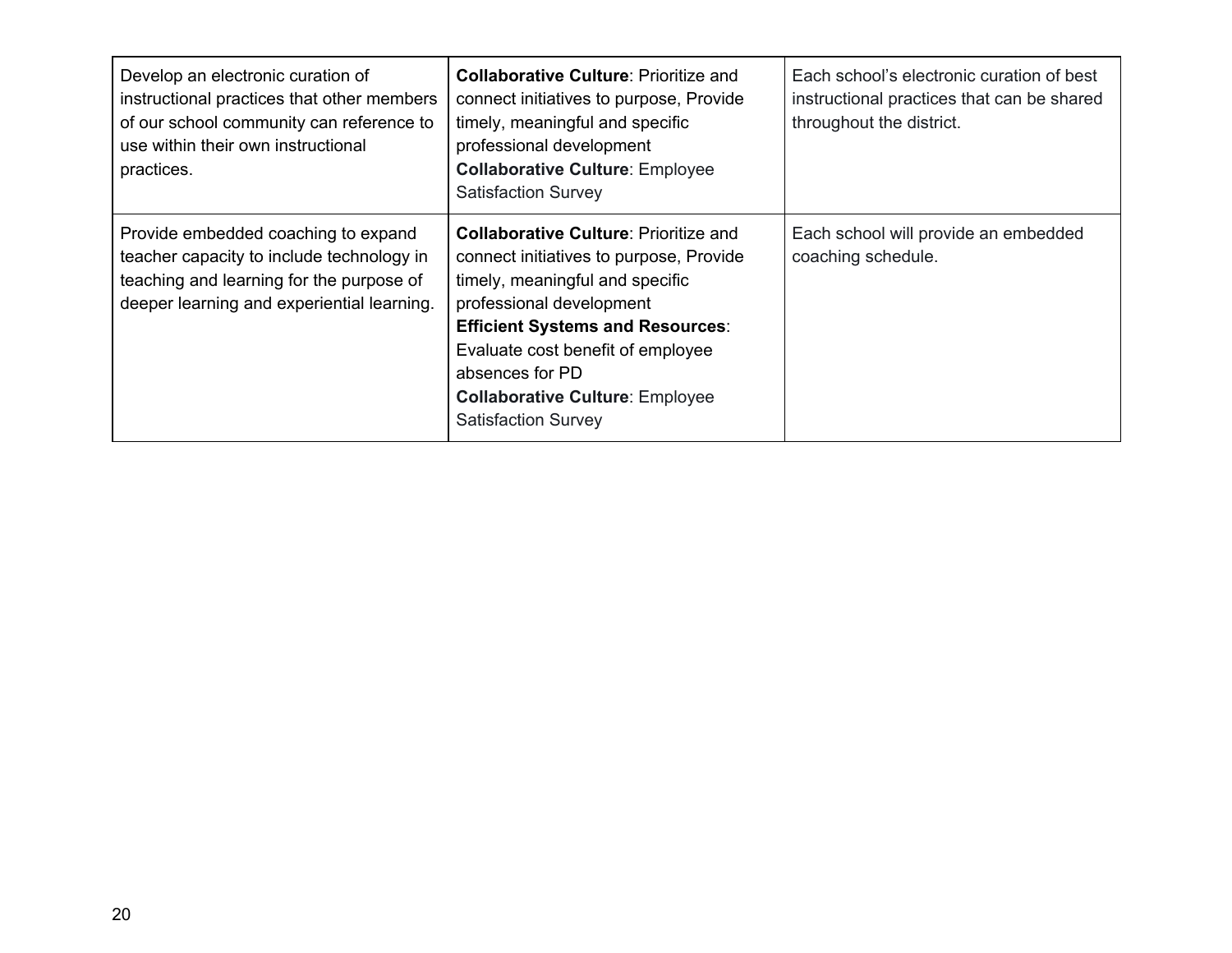| Develop an electronic curation of<br>instructional practices that other members<br>of our school community can reference to<br>use within their own instructional<br>practices. | <b>Collaborative Culture: Prioritize and</b><br>connect initiatives to purpose, Provide<br>timely, meaningful and specific<br>professional development<br><b>Collaborative Culture: Employee</b><br><b>Satisfaction Survey</b>                                                                                                    | Each school's electronic curation of best<br>instructional practices that can be shared<br>throughout the district. |
|---------------------------------------------------------------------------------------------------------------------------------------------------------------------------------|-----------------------------------------------------------------------------------------------------------------------------------------------------------------------------------------------------------------------------------------------------------------------------------------------------------------------------------|---------------------------------------------------------------------------------------------------------------------|
| Provide embedded coaching to expand<br>teacher capacity to include technology in<br>teaching and learning for the purpose of<br>deeper learning and experiential learning.      | <b>Collaborative Culture: Prioritize and</b><br>connect initiatives to purpose, Provide<br>timely, meaningful and specific<br>professional development<br><b>Efficient Systems and Resources:</b><br>Evaluate cost benefit of employee<br>absences for PD<br><b>Collaborative Culture: Employee</b><br><b>Satisfaction Survey</b> | Each school will provide an embedded<br>coaching schedule.                                                          |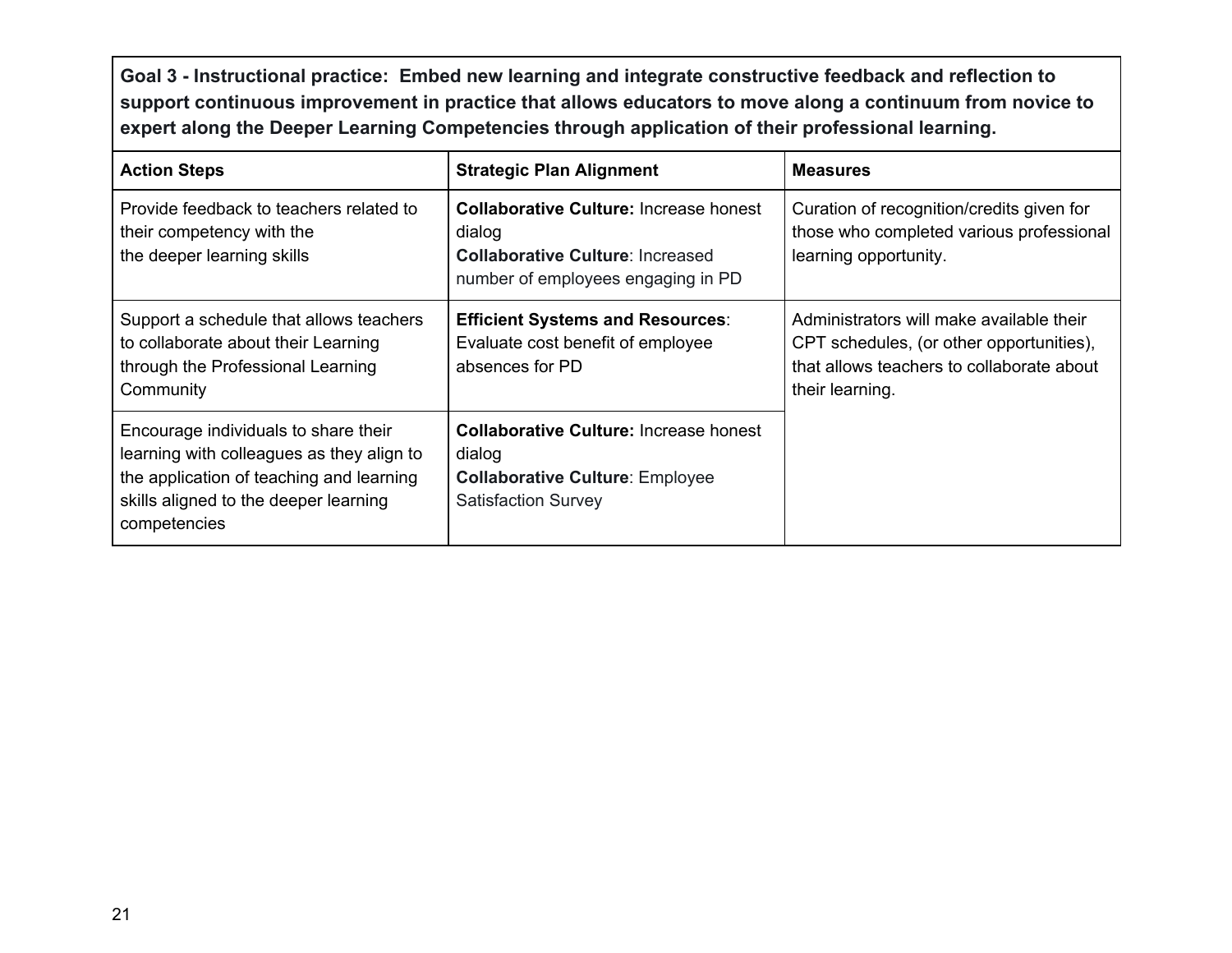**Goal 3 - Instructional practice: Embed new learning and integrate constructive feedback and reflection to support continuous improvement in practice that allows educators to move along a continuum from novice to expert along the Deeper Learning Competencies through application of their professional learning.**

| <b>Action Steps</b>                                                                                                                                                                    | <b>Strategic Plan Alignment</b>                                                                                                          | <b>Measures</b>                                                                                                                                      |
|----------------------------------------------------------------------------------------------------------------------------------------------------------------------------------------|------------------------------------------------------------------------------------------------------------------------------------------|------------------------------------------------------------------------------------------------------------------------------------------------------|
| Provide feedback to teachers related to<br>their competency with the<br>the deeper learning skills                                                                                     | <b>Collaborative Culture: Increase honest</b><br>dialog<br><b>Collaborative Culture: Increased</b><br>number of employees engaging in PD | Curation of recognition/credits given for<br>those who completed various professional<br>learning opportunity.                                       |
| Support a schedule that allows teachers<br>to collaborate about their Learning<br>through the Professional Learning<br>Community                                                       | <b>Efficient Systems and Resources:</b><br>Evaluate cost benefit of employee<br>absences for PD                                          | Administrators will make available their<br>CPT schedules, (or other opportunities),<br>that allows teachers to collaborate about<br>their learning. |
| Encourage individuals to share their<br>learning with colleagues as they align to<br>the application of teaching and learning<br>skills aligned to the deeper learning<br>competencies | <b>Collaborative Culture: Increase honest</b><br>dialog<br><b>Collaborative Culture: Employee</b><br><b>Satisfaction Survey</b>          |                                                                                                                                                      |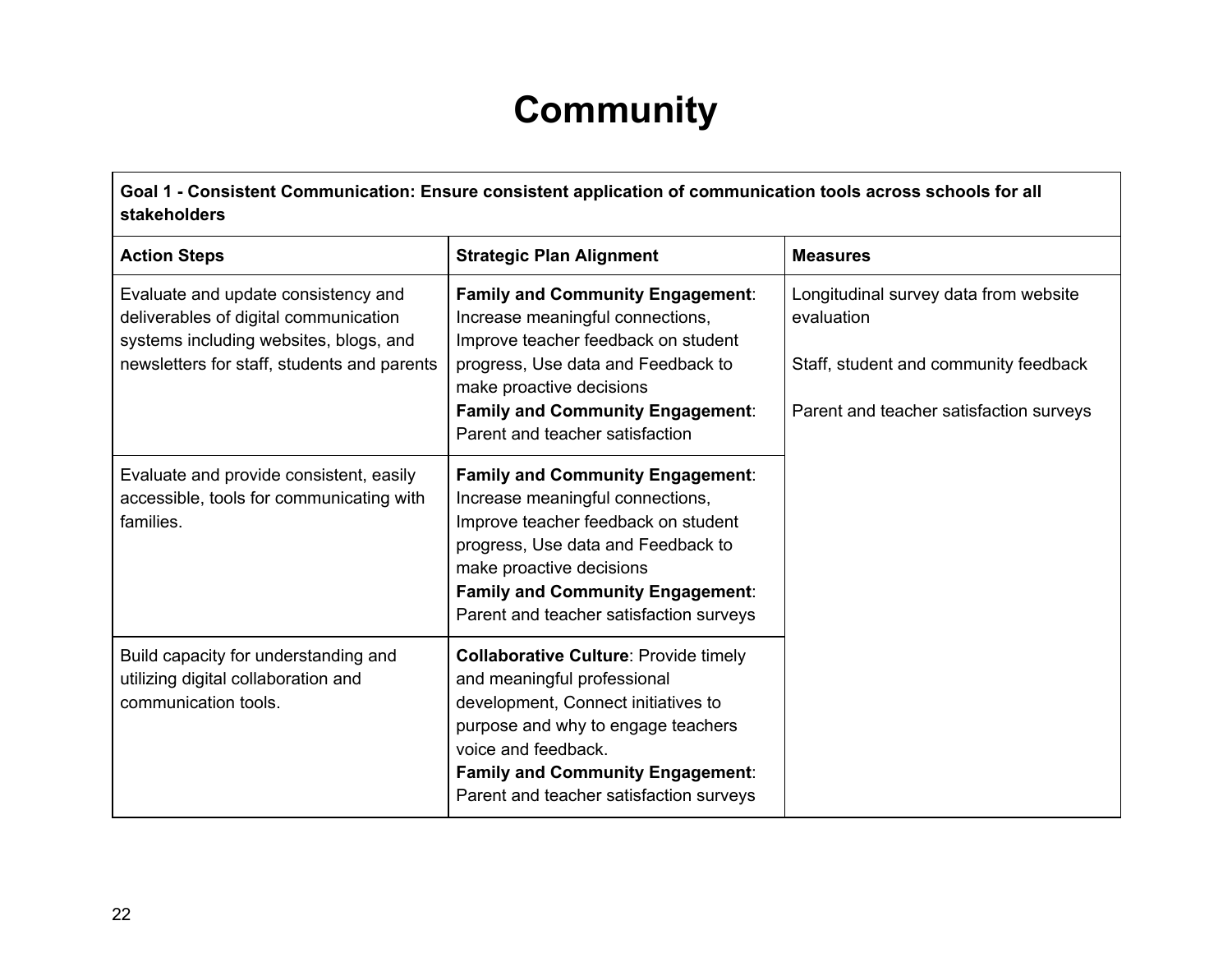### **Community**

<span id="page-22-0"></span>**Goal 1 - Consistent Communication: Ensure consistent application of communication tools across schools for all stakeholders**

| <b>Action Steps</b>                                                                                                                                                   | <b>Strategic Plan Alignment</b>                                                                                                                                                                                                                                            | <b>Measures</b>                                                                                                                         |
|-----------------------------------------------------------------------------------------------------------------------------------------------------------------------|----------------------------------------------------------------------------------------------------------------------------------------------------------------------------------------------------------------------------------------------------------------------------|-----------------------------------------------------------------------------------------------------------------------------------------|
| Evaluate and update consistency and<br>deliverables of digital communication<br>systems including websites, blogs, and<br>newsletters for staff, students and parents | <b>Family and Community Engagement:</b><br>Increase meaningful connections,<br>Improve teacher feedback on student<br>progress, Use data and Feedback to<br>make proactive decisions<br><b>Family and Community Engagement:</b><br>Parent and teacher satisfaction         | Longitudinal survey data from website<br>evaluation<br>Staff, student and community feedback<br>Parent and teacher satisfaction surveys |
| Evaluate and provide consistent, easily<br>accessible, tools for communicating with<br>families.                                                                      | <b>Family and Community Engagement:</b><br>Increase meaningful connections,<br>Improve teacher feedback on student<br>progress, Use data and Feedback to<br>make proactive decisions<br><b>Family and Community Engagement:</b><br>Parent and teacher satisfaction surveys |                                                                                                                                         |
| Build capacity for understanding and<br>utilizing digital collaboration and<br>communication tools.                                                                   | <b>Collaborative Culture: Provide timely</b><br>and meaningful professional<br>development, Connect initiatives to<br>purpose and why to engage teachers<br>voice and feedback.<br><b>Family and Community Engagement:</b><br>Parent and teacher satisfaction surveys      |                                                                                                                                         |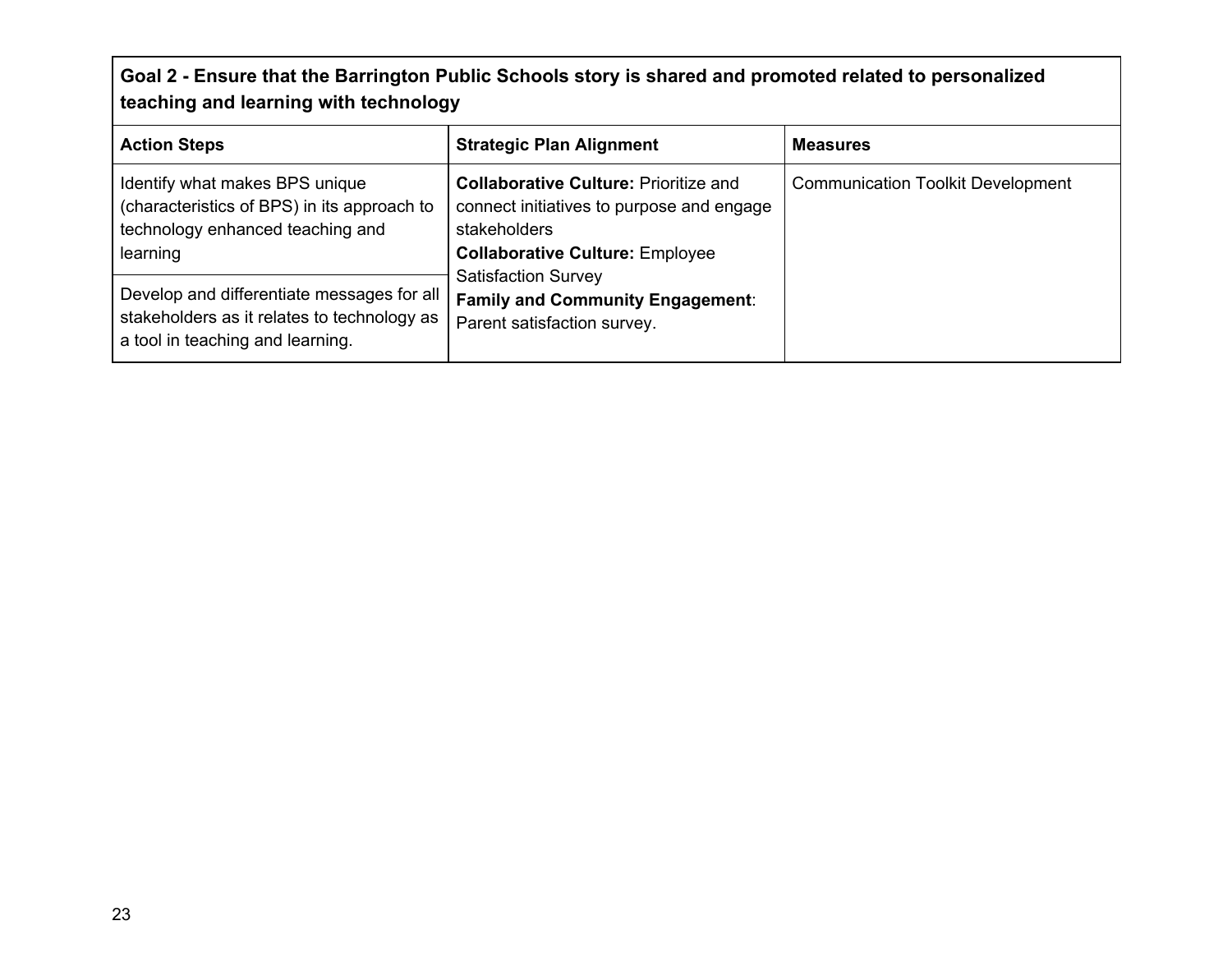### **Goal 2 - Ensure that the Barrington Public Schools story is shared and promoted related to personalized teaching and learning with technology**

| <b>Action Steps</b>                                                                                                                                                         | <b>Strategic Plan Alignment</b>                                                                                                                                                                                              | <b>Measures</b>                          |
|-----------------------------------------------------------------------------------------------------------------------------------------------------------------------------|------------------------------------------------------------------------------------------------------------------------------------------------------------------------------------------------------------------------------|------------------------------------------|
| Identify what makes BPS unique<br>(characteristics of BPS) in its approach to<br>technology enhanced teaching and<br>learning<br>Develop and differentiate messages for all | <b>Collaborative Culture: Prioritize and</b><br>connect initiatives to purpose and engage<br>stakeholders<br><b>Collaborative Culture: Employee</b><br><b>Satisfaction Survey</b><br><b>Family and Community Engagement:</b> | <b>Communication Toolkit Development</b> |
| stakeholders as it relates to technology as<br>a tool in teaching and learning.                                                                                             | Parent satisfaction survey.                                                                                                                                                                                                  |                                          |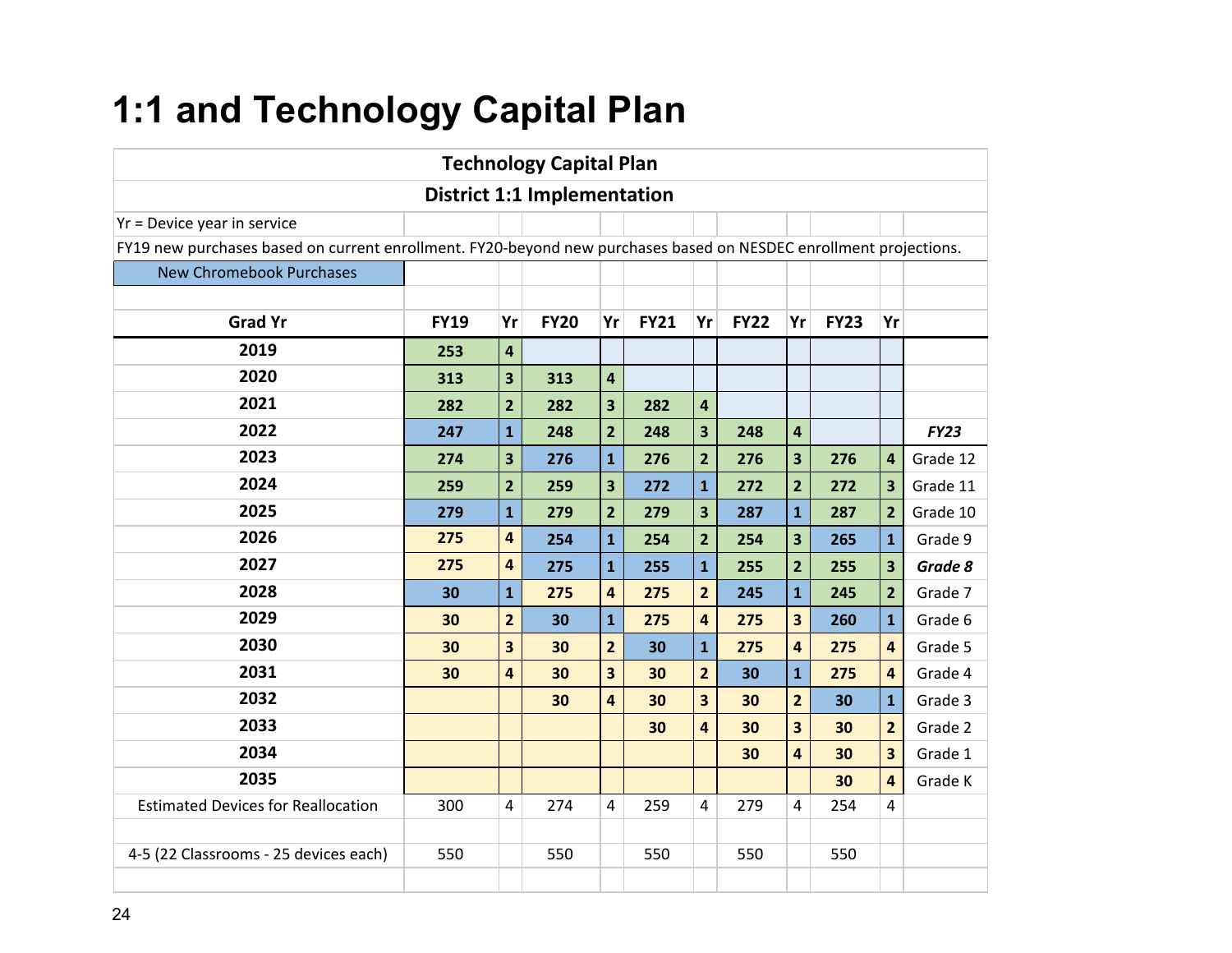### <span id="page-24-0"></span>**1:1 and Technology Capital Plan**

|                                                                                                                   |             |                         | <b>Technology Capital Plan</b>     |                         |             |                         |             |                         |             |                         |          |  |
|-------------------------------------------------------------------------------------------------------------------|-------------|-------------------------|------------------------------------|-------------------------|-------------|-------------------------|-------------|-------------------------|-------------|-------------------------|----------|--|
|                                                                                                                   |             |                         | <b>District 1:1 Implementation</b> |                         |             |                         |             |                         |             |                         |          |  |
| Yr = Device year in service                                                                                       |             |                         |                                    |                         |             |                         |             |                         |             |                         |          |  |
| FY19 new purchases based on current enrollment. FY20-beyond new purchases based on NESDEC enrollment projections. |             |                         |                                    |                         |             |                         |             |                         |             |                         |          |  |
| <b>New Chromebook Purchases</b>                                                                                   |             |                         |                                    |                         |             |                         |             |                         |             |                         |          |  |
|                                                                                                                   |             |                         |                                    |                         |             |                         |             |                         |             |                         |          |  |
| <b>Grad Yr</b>                                                                                                    | <b>FY19</b> | Yr                      | <b>FY20</b>                        | Yr                      | <b>FY21</b> | Yr                      | <b>FY22</b> | Yr                      | <b>FY23</b> | Yr                      |          |  |
| 2019                                                                                                              | 253         | $\overline{\mathbf{4}}$ |                                    |                         |             |                         |             |                         |             |                         |          |  |
| 2020                                                                                                              | 313         | $\overline{\mathbf{3}}$ | 313                                | 4                       |             |                         |             |                         |             |                         |          |  |
| 2021                                                                                                              | 282         | $\overline{2}$          | 282                                | 3                       | 282         | 4                       |             |                         |             |                         |          |  |
| 2022                                                                                                              | 247         | $\overline{1}$          | 248                                | $\overline{2}$          | 248         | $\overline{\mathbf{3}}$ | 248         | 4                       |             |                         | FY23     |  |
| 2023                                                                                                              | 274         | $\overline{\mathbf{3}}$ | 276                                | $\overline{1}$          | 276         | $\overline{2}$          | 276         | 3                       | 276         | 4                       | Grade 12 |  |
| 2024                                                                                                              | 259         | $\overline{2}$          | 259                                | $\overline{\mathbf{3}}$ | 272         | $\overline{\mathbf{1}}$ | 272         | $\overline{2}$          | 272         | 3                       | Grade 11 |  |
| 2025                                                                                                              | 279         | $\mathbf{1}$            | 279                                | $\overline{2}$          | 279         | $\overline{\mathbf{3}}$ | 287         | $\mathbf{1}$            | 287         | $\overline{2}$          | Grade 10 |  |
| 2026                                                                                                              | 275         | $\overline{\mathbf{4}}$ | 254                                | $\overline{\mathbf{1}}$ | 254         | $\overline{2}$          | 254         | 3                       | 265         | $\mathbf{1}$            | Grade 9  |  |
| 2027                                                                                                              | 275         | $\overline{\mathbf{4}}$ | 275                                | $\overline{\mathbf{1}}$ | 255         | $\overline{\mathbf{1}}$ | 255         | $\overline{2}$          | 255         | 3                       | Grade 8  |  |
| 2028                                                                                                              | 30          | $\mathbf{1}$            | 275                                | $\overline{\mathbf{4}}$ | 275         | $\overline{2}$          | 245         | $\mathbf{1}$            | 245         | $\overline{2}$          | Grade 7  |  |
| 2029                                                                                                              | 30          | $\overline{2}$          | 30                                 | $\mathbf{1}$            | 275         | $\overline{a}$          | 275         | $\overline{\mathbf{3}}$ | 260         | $\mathbf{1}$            | Grade 6  |  |
| 2030                                                                                                              | 30          | 3                       | 30                                 | $\overline{2}$          | 30          | $\mathbf{1}$            | 275         | 4                       | 275         | 4                       | Grade 5  |  |
| 2031                                                                                                              | 30          | $\overline{\mathbf{4}}$ | 30                                 | 3                       | 30          | $\overline{2}$          | 30          | $\mathbf{1}$            | 275         | 4                       | Grade 4  |  |
| 2032                                                                                                              |             |                         | 30                                 | 4                       | 30          | $\overline{\mathbf{3}}$ | 30          | $\overline{2}$          | 30          | $\mathbf{1}$            | Grade 3  |  |
| 2033                                                                                                              |             |                         |                                    |                         | 30          | 4                       | 30          | 3                       | 30          | $\overline{2}$          | Grade 2  |  |
| 2034                                                                                                              |             |                         |                                    |                         |             |                         | 30          | $\overline{\mathbf{a}}$ | 30          | $\overline{\mathbf{3}}$ | Grade 1  |  |
| 2035                                                                                                              |             |                         |                                    |                         |             |                         |             |                         | 30          | 4                       | Grade K  |  |
| <b>Estimated Devices for Reallocation</b>                                                                         | 300         | 4                       | 274                                | 4                       | 259         | 4                       | 279         | 4                       | 254         | 4                       |          |  |
|                                                                                                                   |             |                         |                                    |                         |             |                         |             |                         |             |                         |          |  |
| 4-5 (22 Classrooms - 25 devices each)                                                                             | 550         |                         | 550                                |                         | 550         |                         | 550         |                         | 550         |                         |          |  |
|                                                                                                                   |             |                         |                                    |                         |             |                         |             |                         |             |                         |          |  |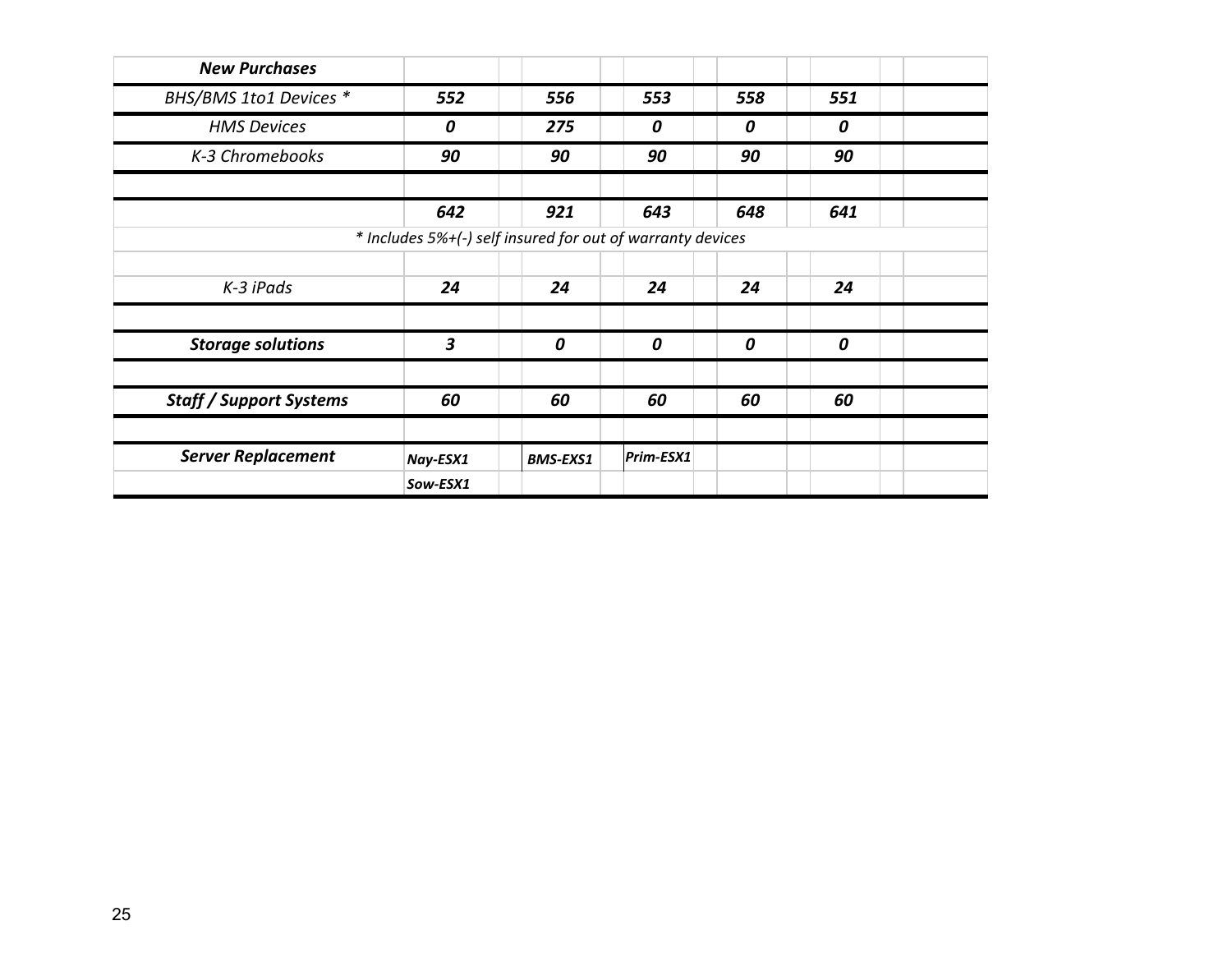| <b>New Purchases</b>           |                                                            |                 |           |     |     |  |
|--------------------------------|------------------------------------------------------------|-----------------|-----------|-----|-----|--|
| BHS/BMS 1to1 Devices *         | 552                                                        | 556             | 553       | 558 | 551 |  |
| <b>HMS Devices</b>             | 0                                                          | 275             | 0         | 0   | 0   |  |
| K-3 Chromebooks                | 90                                                         | 90              | 90        | 90  | 90  |  |
|                                | 642                                                        | 921             | 643       | 648 | 641 |  |
|                                | * Includes 5%+(-) self insured for out of warranty devices |                 |           |     |     |  |
| K-3 iPads                      | 24                                                         | 24              | 24        | 24  | 24  |  |
| <b>Storage solutions</b>       | $\overline{\mathbf{3}}$                                    | 0               | 0         | 0   | 0   |  |
| <b>Staff / Support Systems</b> | 60                                                         | 60              | 60        | 60  | 60  |  |
| <b>Server Replacement</b>      | Nay-ESX1                                                   | <b>BMS-EXS1</b> | Prim-ESX1 |     |     |  |
|                                | Sow-ESX1                                                   |                 |           |     |     |  |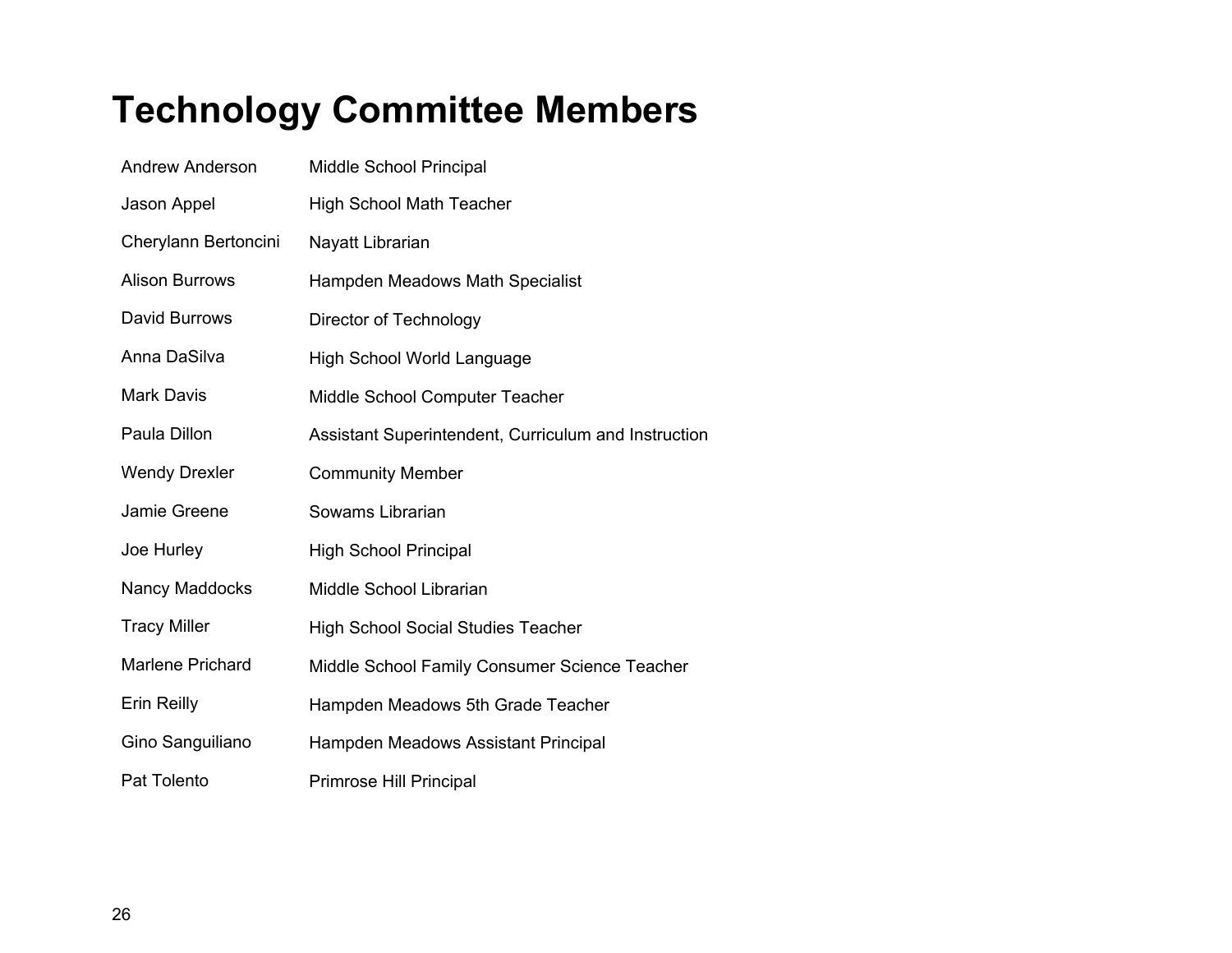### <span id="page-26-0"></span>**Technology Committee Members**

| <b>Andrew Anderson</b> | Middle School Principal                              |
|------------------------|------------------------------------------------------|
| Jason Appel            | <b>High School Math Teacher</b>                      |
| Cherylann Bertoncini   | Nayatt Librarian                                     |
| <b>Alison Burrows</b>  | Hampden Meadows Math Specialist                      |
| David Burrows          | Director of Technology                               |
| Anna DaSilva           | <b>High School World Language</b>                    |
| <b>Mark Davis</b>      | Middle School Computer Teacher                       |
| Paula Dillon           | Assistant Superintendent, Curriculum and Instruction |
| <b>Wendy Drexler</b>   | <b>Community Member</b>                              |
| Jamie Greene           | Sowams Librarian                                     |
| Joe Hurley             | <b>High School Principal</b>                         |
| Nancy Maddocks         | Middle School Librarian                              |
| <b>Tracy Miller</b>    | <b>High School Social Studies Teacher</b>            |
| Marlene Prichard       | Middle School Family Consumer Science Teacher        |
| <b>Erin Reilly</b>     | Hampden Meadows 5th Grade Teacher                    |
| Gino Sanguiliano       | Hampden Meadows Assistant Principal                  |
| Pat Tolento            | Primrose Hill Principal                              |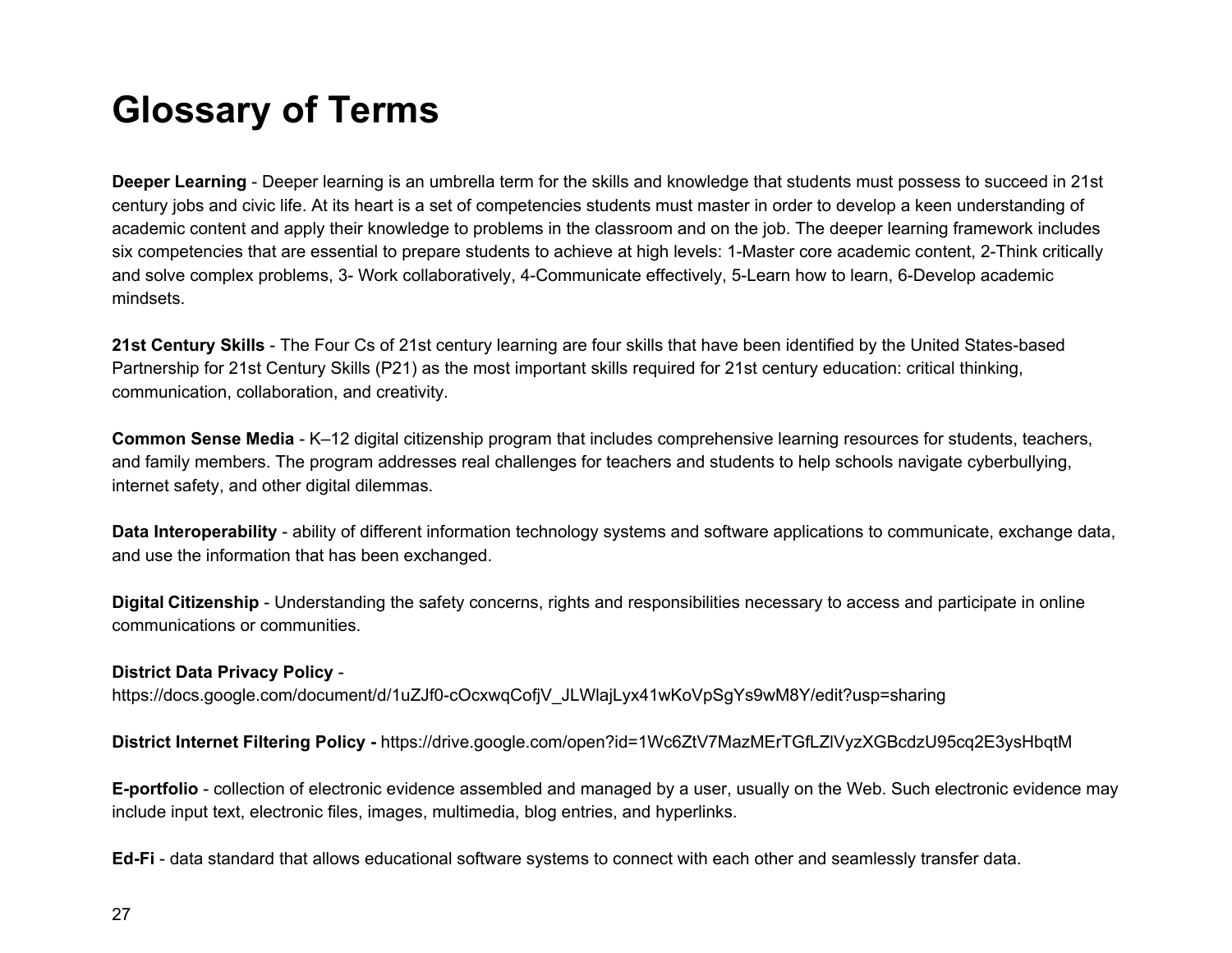### <span id="page-27-0"></span>**Glossary of Terms**

**Deeper Learning** - Deeper learning is an umbrella term for the skills and knowledge that students must possess to succeed in 21st century jobs and civic life. At its heart is a set of competencies students must master in order to develop a keen understanding of academic content and apply their knowledge to problems in the classroom and on the job. The deeper learning framework includes six competencies that are essential to prepare students to achieve at high levels: 1-Master core academic content, 2-Think critically and solve complex problems, 3- Work collaboratively, 4-Communicate effectively, 5-Learn how to learn, 6-Develop academic mindsets.

**21st Century Skills** - The Four Cs of 21st century learning are four skills that have been identified by the United States-based Partnership for 21st Century Skills (P21) as the most important skills required for 21st century education: critical thinking, communication, collaboration, and creativity.

**Common Sense Media** - K–12 digital citizenship program that includes comprehensive learning resources for students, teachers, and family members. The program addresses real challenges for teachers and students to help schools navigate cyberbullying, internet safety, and other digital dilemmas.

**Data Interoperability** - ability of different information technology systems and software applications to communicate, exchange data, and use the information that has been exchanged.

**Digital Citizenship** - Understanding the safety concerns, rights and responsibilities necessary to access and participate in online communications or communities.

#### **District Data Privacy Policy** -

https://docs.google.com/document/d/1uZJf0-cOcxwqCofjV\_JLWlajLyx41wKoVpSgYs9wM8Y/edit?usp=sharing

**District Internet Filtering Policy -** https://drive.google.com/open?id=1Wc6ZtV7MazMErTGfLZlVyzXGBcdzU95cq2E3ysHbqtM

**E-portfolio** - collection of electronic evidence assembled and managed by a user, usually on the Web. Such electronic evidence may include input text, electronic files, images, multimedia, blog entries, and hyperlinks.

**Ed-Fi** - data standard that allows educational software systems to connect with each other and seamlessly transfer data.